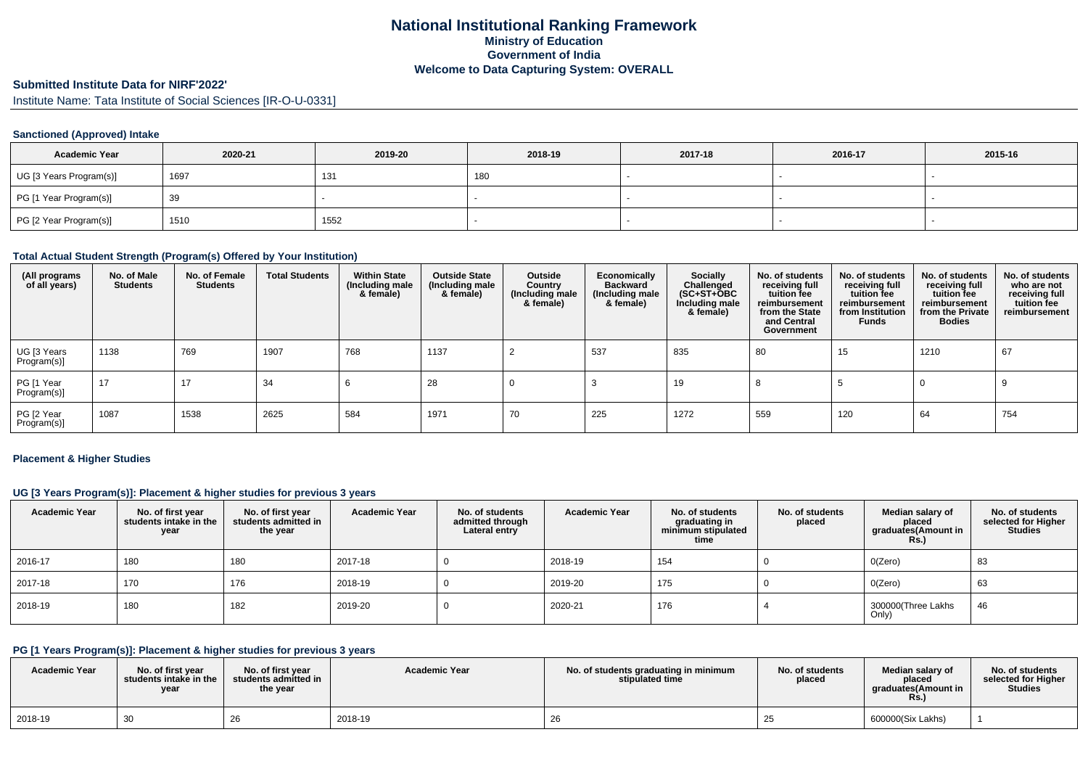# **National Institutional Ranking FrameworkMinistry of Education Government of IndiaWelcome to Data Capturing System: OVERALL**

# **Submitted Institute Data for NIRF'2022'**

Institute Name: Tata Institute of Social Sciences [IR-O-U-0331]

### **Sanctioned (Approved) Intake**

| <b>Academic Year</b>    | 2020-21 | 2019-20 | 2018-19 | 2017-18 | 2016-17 | 2015-16 |
|-------------------------|---------|---------|---------|---------|---------|---------|
| UG [3 Years Program(s)] | 1697    | 131     | 180     |         |         |         |
| PG [1 Year Program(s)]  | 39      |         |         |         |         |         |
| PG [2 Year Program(s)]  | 1510    | 1552    |         |         |         |         |

#### **Total Actual Student Strength (Program(s) Offered by Your Institution)**

| (All programs<br>of all years) | No. of Male<br><b>Students</b> | No. of Female<br><b>Students</b> | <b>Total Students</b> | <b>Within State</b><br>(Including male<br>& female) | <b>Outside State</b><br>(Including male<br>& female) | Outside<br>Country<br>(Including male<br>& female) | Economically<br><b>Backward</b><br>(Including male<br>& female) | Socially<br>Challenged<br>$(SC+ST+\text{O}BC)$<br>Including male<br>& female) | No. of students<br>receiving full<br>tuition fee<br>reimbursement<br>from the State<br>and Central<br>Government | No. of students<br>receiving full<br>tuition fee<br>reimbursement<br>from Institution<br><b>Funds</b> | No. of students<br>receiving full<br>tuition fee<br>reimbursement<br>from the Private<br><b>Bodies</b> | No. of students<br>who are not<br>receiving full<br>tuition fee<br>reimbursement |
|--------------------------------|--------------------------------|----------------------------------|-----------------------|-----------------------------------------------------|------------------------------------------------------|----------------------------------------------------|-----------------------------------------------------------------|-------------------------------------------------------------------------------|------------------------------------------------------------------------------------------------------------------|-------------------------------------------------------------------------------------------------------|--------------------------------------------------------------------------------------------------------|----------------------------------------------------------------------------------|
| UG [3 Years<br>Program(s)]     | 1138                           | 769                              | 1907                  | 768                                                 | 1137                                                 |                                                    | 537                                                             | 835                                                                           | 80                                                                                                               | 15                                                                                                    | 1210                                                                                                   | 67                                                                               |
| PG [1 Year<br>Program(s)]      | 17                             | 17                               | 34                    | O                                                   | 28                                                   |                                                    |                                                                 | 19                                                                            |                                                                                                                  |                                                                                                       |                                                                                                        |                                                                                  |
| PG [2 Year<br>Program(s)]      | 1087                           | 1538                             | 2625                  | 584                                                 | 1971                                                 | 70                                                 | 225                                                             | 1272                                                                          | 559                                                                                                              | 120                                                                                                   | 64                                                                                                     | 754                                                                              |

#### **Placement & Higher Studies**

### **UG [3 Years Program(s)]: Placement & higher studies for previous 3 years**

| <b>Academic Year</b> | No. of first year<br>students intake in the<br>year | No. of first year<br>students admitted in<br>the year | <b>Academic Year</b> | No. of students<br>admitted through<br>Lateral entry | <b>Academic Year</b> | No. of students<br>graduating in<br>minimum stipulated<br>time | No. of students<br>placed | Median salary of<br>placed<br>graduates(Amount in<br>Rs. | No. of students<br>selected for Higher<br><b>Studies</b> |
|----------------------|-----------------------------------------------------|-------------------------------------------------------|----------------------|------------------------------------------------------|----------------------|----------------------------------------------------------------|---------------------------|----------------------------------------------------------|----------------------------------------------------------|
| 2016-17              | 180                                                 | 180                                                   | 2017-18              |                                                      | 2018-19              | 154                                                            |                           | O(Zero)                                                  | 83                                                       |
| 2017-18              | 170                                                 | 176                                                   | 2018-19              |                                                      | 2019-20              | 175                                                            |                           | O(Zero)                                                  | 63                                                       |
| 2018-19              | 180                                                 | 182                                                   | 2019-20              |                                                      | 2020-21              | 176                                                            |                           | 300000(Three Lakhs<br>Only)                              | 46                                                       |

### **PG [1 Years Program(s)]: Placement & higher studies for previous 3 years**

| <b>Academic Year</b> | No. of first vear<br>students intake in the<br>year | No. of first year<br>students admitted in<br>the year | <b>Academic Year</b> | No. of students graduating in minimum<br>stipulated time | No. of students<br>placed | Median salary of<br>placed<br>araduates(Amount in<br><b>Rs.</b> | No. of students<br>selected for Higher<br><b>Studies</b> |
|----------------------|-----------------------------------------------------|-------------------------------------------------------|----------------------|----------------------------------------------------------|---------------------------|-----------------------------------------------------------------|----------------------------------------------------------|
| 2018-19              | 30                                                  | 26                                                    | 2018-19              | 26                                                       | د∠                        | 600000(Six Lakhs)                                               |                                                          |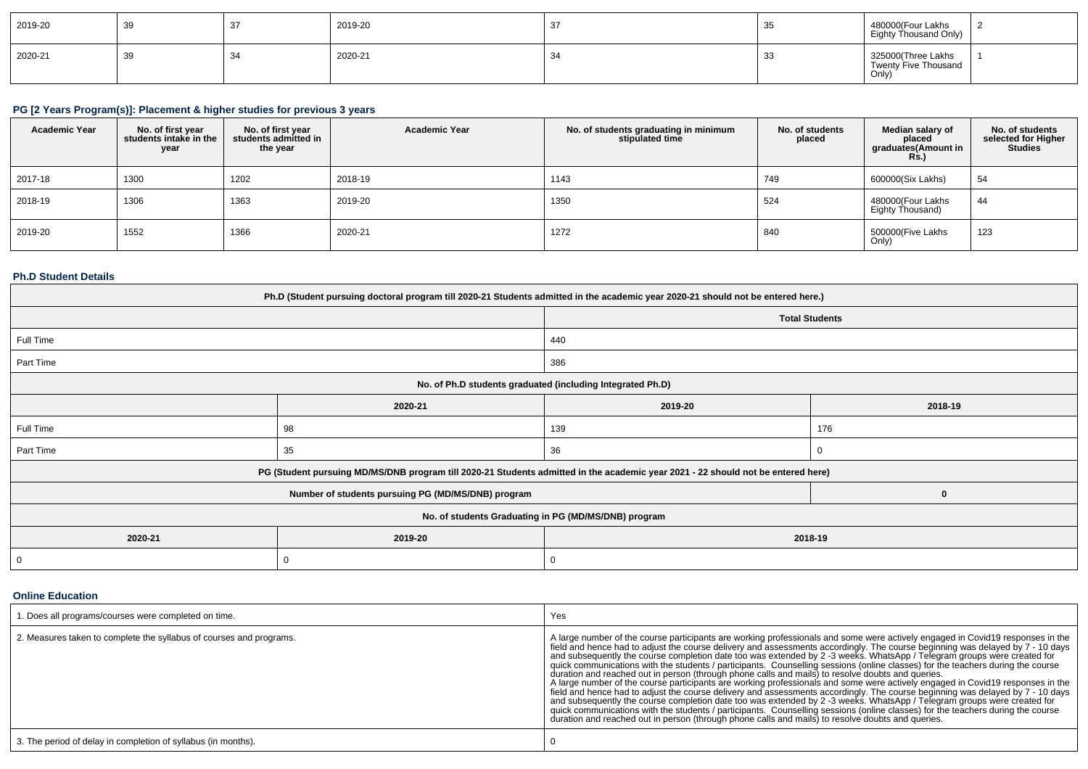| 2019-20 | 39 |              | 2019-20 | نٽ      | ັບເ        | 480000(Four Lakhs<br>Eighty Thousand Only)          |  |
|---------|----|--------------|---------|---------|------------|-----------------------------------------------------|--|
| 2020-21 | 39 | $\sim$<br>~ت | 2020-21 | $\cdot$ | -30<br>ັບເ | 325000(Three Lakhs<br>Twenty Five Thousand<br>Only) |  |

# **PG [2 Years Program(s)]: Placement & higher studies for previous 3 years**

| <b>Academic Year</b> | No. of first year<br>students intake in the<br>year | No. of first vear<br>students admitted in<br>the year | <b>Academic Year</b> | No. of students graduating in minimum<br>stipulated time | No. of students<br>placed | Median salary of<br>placed<br>graduates(Amount in<br>Rs.) | No. of students<br>selected for Higher<br><b>Studies</b> |
|----------------------|-----------------------------------------------------|-------------------------------------------------------|----------------------|----------------------------------------------------------|---------------------------|-----------------------------------------------------------|----------------------------------------------------------|
| 2017-18              | 1300                                                | 1202                                                  | 2018-19              | 1143                                                     | 749                       | 600000(Six Lakhs)                                         | 54                                                       |
| 2018-19              | 1306                                                | 1363                                                  | 2019-20              | 1350                                                     | 524                       | 480000(Four Lakhs<br>Eighty Thousand)                     | 44                                                       |
| 2019-20              | 1552                                                | 1366                                                  | 2020-21              | 1272                                                     | 840                       | 500000(Five Lakhs<br>Only)                                | 123                                                      |

### **Ph.D Student Details**

| Ph.D (Student pursuing doctoral program till 2020-21 Students admitted in the academic year 2020-21 should not be entered here.) |                                                      |                                                                                                                                  |              |  |  |  |
|----------------------------------------------------------------------------------------------------------------------------------|------------------------------------------------------|----------------------------------------------------------------------------------------------------------------------------------|--------------|--|--|--|
|                                                                                                                                  |                                                      | <b>Total Students</b>                                                                                                            |              |  |  |  |
| Full Time                                                                                                                        |                                                      | 440                                                                                                                              |              |  |  |  |
| Part Time                                                                                                                        |                                                      | 386                                                                                                                              |              |  |  |  |
| No. of Ph.D students graduated (including Integrated Ph.D)                                                                       |                                                      |                                                                                                                                  |              |  |  |  |
|                                                                                                                                  | 2020-21                                              | 2019-20                                                                                                                          | 2018-19      |  |  |  |
| Full Time                                                                                                                        | 98                                                   | 139                                                                                                                              | 176          |  |  |  |
| Part Time                                                                                                                        | 35                                                   | 36                                                                                                                               |              |  |  |  |
|                                                                                                                                  |                                                      | PG (Student pursuing MD/MS/DNB program till 2020-21 Students admitted in the academic year 2021 - 22 should not be entered here) |              |  |  |  |
|                                                                                                                                  | Number of students pursuing PG (MD/MS/DNB) program   |                                                                                                                                  | $\mathbf{0}$ |  |  |  |
|                                                                                                                                  | No. of students Graduating in PG (MD/MS/DNB) program |                                                                                                                                  |              |  |  |  |
| 2020-21<br>2019-20<br>2018-19                                                                                                    |                                                      |                                                                                                                                  |              |  |  |  |
| 0                                                                                                                                | 0                                                    |                                                                                                                                  |              |  |  |  |

**Online Education**

| 1. Does all programs/courses were completed on time.                | Yes                                                                                                                                                                                                                                                                                                                                                                                                                                                                                                                                                                                                                                                                                                                                                                                                                                                                                                                                                                                                                                                                                                                                                                                                                                                                        |
|---------------------------------------------------------------------|----------------------------------------------------------------------------------------------------------------------------------------------------------------------------------------------------------------------------------------------------------------------------------------------------------------------------------------------------------------------------------------------------------------------------------------------------------------------------------------------------------------------------------------------------------------------------------------------------------------------------------------------------------------------------------------------------------------------------------------------------------------------------------------------------------------------------------------------------------------------------------------------------------------------------------------------------------------------------------------------------------------------------------------------------------------------------------------------------------------------------------------------------------------------------------------------------------------------------------------------------------------------------|
| 2. Measures taken to complete the syllabus of courses and programs. | A large number of the course participants are working professionals and some were actively engaged in Covid19 responses in the<br>field and hence had to adjust the course delivery and assessments accordingly. The course beginning was delayed by 7 - 10 days<br>and subsequently the course completion date too was extended by 2 -3 weeks. WhatsApp / Telegram groups were created for<br>quick communications with the students / participants. Counselling sessions (online classes) for the teachers during the course<br>duration and reached out in person (through phone calls and mails) to resolve doubts and queries.<br>A large number of the course participants are working professionals and some were actively engaged in Covid19 responses in the<br>field and hence had to adjust the course delivery and assessments accordingly. The course beginning was delayed by 7 - 10 days<br>and subsequently the course completion date too was extended by 2 -3 weeks. WhatsApp / Telegram groups were created for<br>quick communications with the students / participants. Counselling sessions (online classes) for the teachers during the course<br>duration and reached out in person (through phone calls and mails) to resolve doubts and queries. |
| 3. The period of delay in completion of syllabus (in months).       |                                                                                                                                                                                                                                                                                                                                                                                                                                                                                                                                                                                                                                                                                                                                                                                                                                                                                                                                                                                                                                                                                                                                                                                                                                                                            |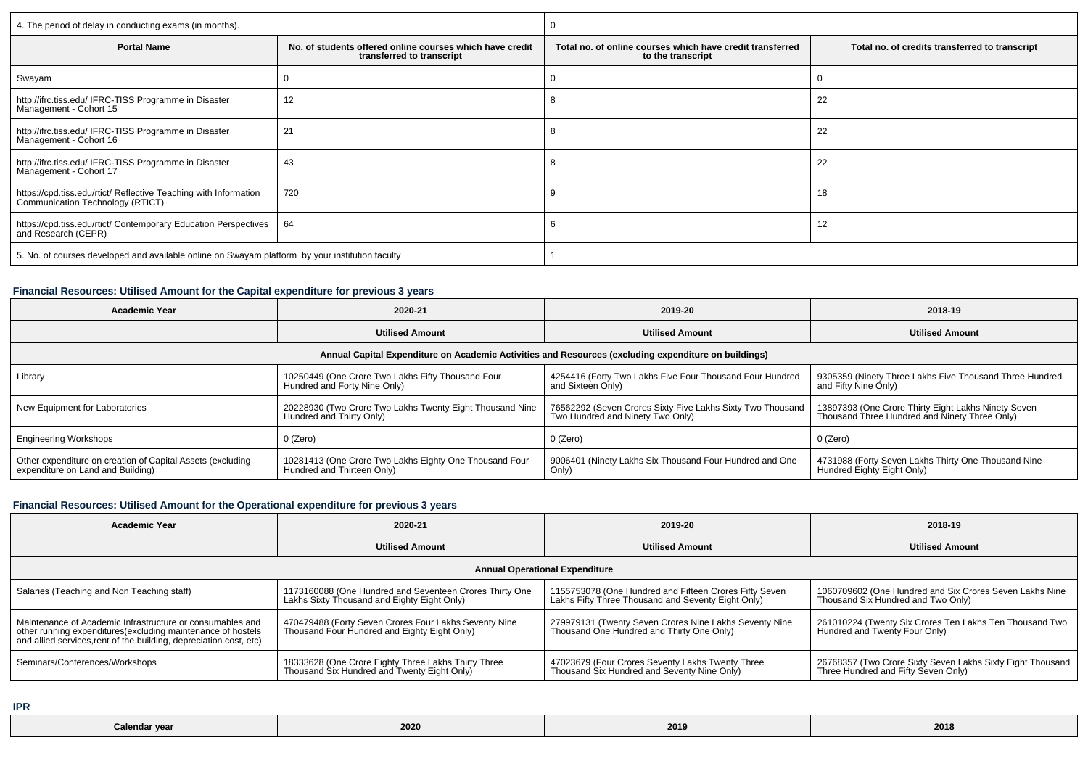| 4. The period of delay in conducting exams (in months).                                              |                                                                                       |                                                                                |                                                |  |  |
|------------------------------------------------------------------------------------------------------|---------------------------------------------------------------------------------------|--------------------------------------------------------------------------------|------------------------------------------------|--|--|
| <b>Portal Name</b>                                                                                   | No, of students offered online courses which have credit<br>transferred to transcript | Total no. of online courses which have credit transferred<br>to the transcript | Total no. of credits transferred to transcript |  |  |
| Swayam                                                                                               |                                                                                       |                                                                                |                                                |  |  |
| http://ifrc.tiss.edu/ IFRC-TISS Programme in Disaster<br>Management - Cohort 15                      | 12                                                                                    |                                                                                | 22                                             |  |  |
| http://ifrc.tiss.edu/ IFRC-TISS Programme in Disaster<br>Management - Cohort 16                      | 21                                                                                    |                                                                                | 22                                             |  |  |
| http://ifrc.tiss.edu/ IFRC-TISS Programme in Disaster<br>Management - Cohort 17                      | 43                                                                                    |                                                                                | 22                                             |  |  |
| https://cpd.tiss.edu/rtict/ Reflective Teaching with Information<br>Communication Technology (RTICT) | 720                                                                                   |                                                                                | 18                                             |  |  |
| https://cpd.tiss.edu/rtict/ Contemporary Education Perspectives<br>and Research (CEPR)               | 64                                                                                    |                                                                                | 12                                             |  |  |
| 5. No. of courses developed and available online on Swayam platform by your institution faculty      |                                                                                       |                                                                                |                                                |  |  |

## **Financial Resources: Utilised Amount for the Capital expenditure for previous 3 years**

| <b>Academic Year</b>                                                                            | 2020-21                                                                              | 2019-20                                                                                              | 2018-19                                                                                              |
|-------------------------------------------------------------------------------------------------|--------------------------------------------------------------------------------------|------------------------------------------------------------------------------------------------------|------------------------------------------------------------------------------------------------------|
|                                                                                                 | <b>Utilised Amount</b>                                                               | <b>Utilised Amount</b>                                                                               | <b>Utilised Amount</b>                                                                               |
|                                                                                                 |                                                                                      | Annual Capital Expenditure on Academic Activities and Resources (excluding expenditure on buildings) |                                                                                                      |
| Library                                                                                         | 10250449 (One Crore Two Lakhs Fifty Thousand Four<br>Hundred and Forty Nine Only)    | 4254416 (Forty Two Lakhs Five Four Thousand Four Hundred<br>and Sixteen Only)                        | 9305359 (Ninety Three Lakhs Five Thousand Three Hundred<br>and Fifty Nine Only)                      |
| New Equipment for Laboratories                                                                  | 20228930 (Two Crore Two Lakhs Twenty Eight Thousand Nine<br>Hundred and Thirty Only) | 76562292 (Seven Crores Sixty Five Lakhs Sixty Two Thousand<br>Two Hundred and Ninety Two Only)       | 13897393 (One Crore Thirty Eight Lakhs Ninety Seven<br>Thousand Three Hundred and Ninety Three Only) |
| <b>Engineering Workshops</b>                                                                    | 0 (Zero)                                                                             | 0 (Zero)                                                                                             | 0 (Zero)                                                                                             |
| Other expenditure on creation of Capital Assets (excluding<br>expenditure on Land and Building) | 10281413 (One Crore Two Lakhs Eighty One Thousand Four<br>Hundred and Thirteen Only) | 9006401 (Ninety Lakhs Six Thousand Four Hundred and One<br>Only)                                     | <sup>1</sup> 4731988 (Forty Seven Lakhs Thirty One Thousand Nine<br>Hundred Eighty Eight Only)       |

#### **Financial Resources: Utilised Amount for the Operational expenditure for previous 3 years**

| <b>Academic Year</b>                                                                                                                                                                            | 2020-21                                                                                                | 2019-20                                                                                                      | 2018-19                                                                                           |  |  |  |  |
|-------------------------------------------------------------------------------------------------------------------------------------------------------------------------------------------------|--------------------------------------------------------------------------------------------------------|--------------------------------------------------------------------------------------------------------------|---------------------------------------------------------------------------------------------------|--|--|--|--|
|                                                                                                                                                                                                 | <b>Utilised Amount</b>                                                                                 | <b>Utilised Amount</b>                                                                                       | <b>Utilised Amount</b>                                                                            |  |  |  |  |
| <b>Annual Operational Expenditure</b>                                                                                                                                                           |                                                                                                        |                                                                                                              |                                                                                                   |  |  |  |  |
| Salaries (Teaching and Non Teaching staff)                                                                                                                                                      | 1173160088 (One Hundred and Seventeen Crores Thirty One<br>Lakhs Sixty Thousand and Eighty Eight Only) | 1155753078 (One Hundred and Fifteen Crores Fifty Seven<br>Lakhs Fifty Three Thousand and Seventy Eight Only) | 1060709602 (One Hundred and Six Crores Seven Lakhs Nine<br>Thousand Six Hundred and Two Only)     |  |  |  |  |
| Maintenance of Academic Infrastructure or consumables and<br>other running expenditures (excluding maintenance of hostels<br>and allied services, rent of the building, depreciation cost, etc) | 470479488 (Forty Seven Crores Four Lakhs Seventy Nine<br>Thousand Four Hundred and Eighty Eight Only)  | 279979131 (Twenty Seven Crores Nine Lakhs Seventy Nine<br>Thousand One Hundred and Thirty One Only)          | 261010224 (Twenty Six Crores Ten Lakhs Ten Thousand Two<br>Hundred and Twenty Four Only)          |  |  |  |  |
| Seminars/Conferences/Workshops                                                                                                                                                                  | 18333628 (One Crore Eighty Three Lakhs Thirty Three<br>Thousand Six Hundred and Twenty Eight Only)     | 47023679 (Four Crores Seventy Lakhs Twenty Three<br>Thousand Six Hundred and Seventy Nine Only)              | 26768357 (Two Crore Sixty Seven Lakhs Sixty Eight Thousand<br>Three Hundred and Fifty Seven Only) |  |  |  |  |

**IPR**

| Calendar year |      |      | 2018 |
|---------------|------|------|------|
| .             | 2020 | 2019 |      |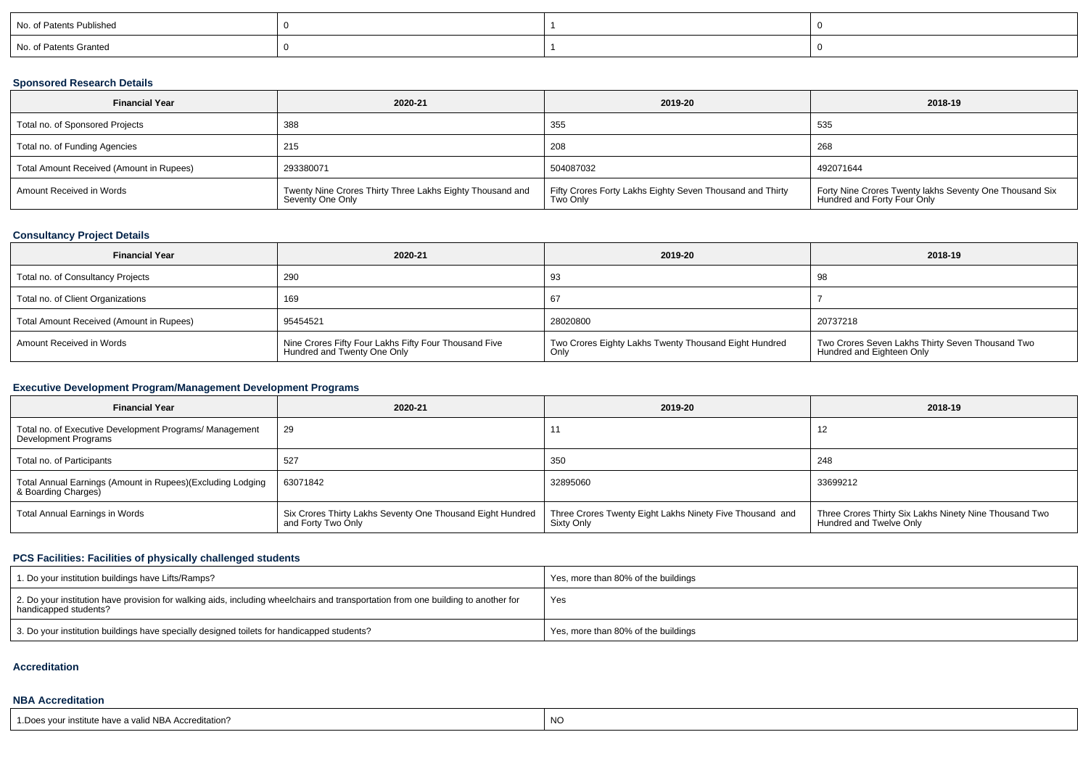| No. of Patents Published |  |  |
|--------------------------|--|--|
| No. of Patents Granted   |  |  |

### **Sponsored Research Details**

| <b>Financial Year</b>                    | 2020-21                                                                       | 2019-20                                                               | 2018-19                                                                                |
|------------------------------------------|-------------------------------------------------------------------------------|-----------------------------------------------------------------------|----------------------------------------------------------------------------------------|
| Total no. of Sponsored Projects          | 388                                                                           | 355                                                                   | 535                                                                                    |
| Total no. of Funding Agencies            | 215                                                                           | 208                                                                   | 268                                                                                    |
| Total Amount Received (Amount in Rupees) | 293380071                                                                     | 504087032                                                             | 492071644                                                                              |
| Amount Received in Words                 | Twenty Nine Crores Thirty Three Lakhs Eighty Thousand and<br>Seventy One Only | Fifty Crores Forty Lakhs Eighty Seven Thousand and Thirty<br>Two Only | Forty Nine Crores Twenty lakhs Seventy One Thousand Six<br>Hundred and Forty Four Only |

## **Consultancy Project Details**

| <b>Financial Year</b>                    | 2020-21                                                                              | 2019-20                                                       | 2018-19                                                                       |
|------------------------------------------|--------------------------------------------------------------------------------------|---------------------------------------------------------------|-------------------------------------------------------------------------------|
| Total no. of Consultancy Projects        | 290                                                                                  | -93                                                           | 98                                                                            |
| Total no. of Client Organizations        | 169                                                                                  | 67                                                            |                                                                               |
| Total Amount Received (Amount in Rupees) | 95454521                                                                             | 28020800                                                      | 20737218                                                                      |
| Amount Received in Words                 | Nine Crores Fifty Four Lakhs Fifty Four Thousand Five<br>Hundred and Twenty One Only | Two Crores Eighty Lakhs Twenty Thousand Eight Hundred<br>Only | Two Crores Seven Lakhs Thirty Seven Thousand Two<br>Hundred and Eighteen Only |

## **Executive Development Program/Management Development Programs**

| <b>Financial Year</b>                                                             | 2020-21                                                                          | 2019-20                                                                | 2018-19                                                                           |
|-----------------------------------------------------------------------------------|----------------------------------------------------------------------------------|------------------------------------------------------------------------|-----------------------------------------------------------------------------------|
| Total no. of Executive Development Programs/ Management<br>Development Programs   | -29                                                                              | .                                                                      |                                                                                   |
| Total no. of Participants                                                         | 527                                                                              | 350                                                                    | 248                                                                               |
| Total Annual Earnings (Amount in Rupees)(Excluding Lodging<br>& Boarding Charges) | 63071842                                                                         | 32895060                                                               | 33699212                                                                          |
| Total Annual Earnings in Words                                                    | Six Crores Thirty Lakhs Seventy One Thousand Eight Hundred<br>and Forty Two Only | Three Crores Twenty Eight Lakhs Ninety Five Thousand and<br>Sixty Only | Three Crores Thirty Six Lakhs Ninety Nine Thousand Two<br>Hundred and Twelve Only |

## **PCS Facilities: Facilities of physically challenged students**

| 1. Do your institution buildings have Lifts/Ramps?                                                                                                         | Yes, more than 80% of the buildings |
|------------------------------------------------------------------------------------------------------------------------------------------------------------|-------------------------------------|
| 2. Do your institution have provision for walking aids, including wheelchairs and transportation from one building to another for<br>handicapped students? | Yes                                 |
| 3. Do your institution buildings have specially designed toilets for handicapped students?                                                                 | Yes, more than 80% of the buildings |

#### **Accreditation**

#### **NBA Accreditation**

| 1. Does your institute have a valid NBA Accreditation? | NO |
|--------------------------------------------------------|----|
|                                                        |    |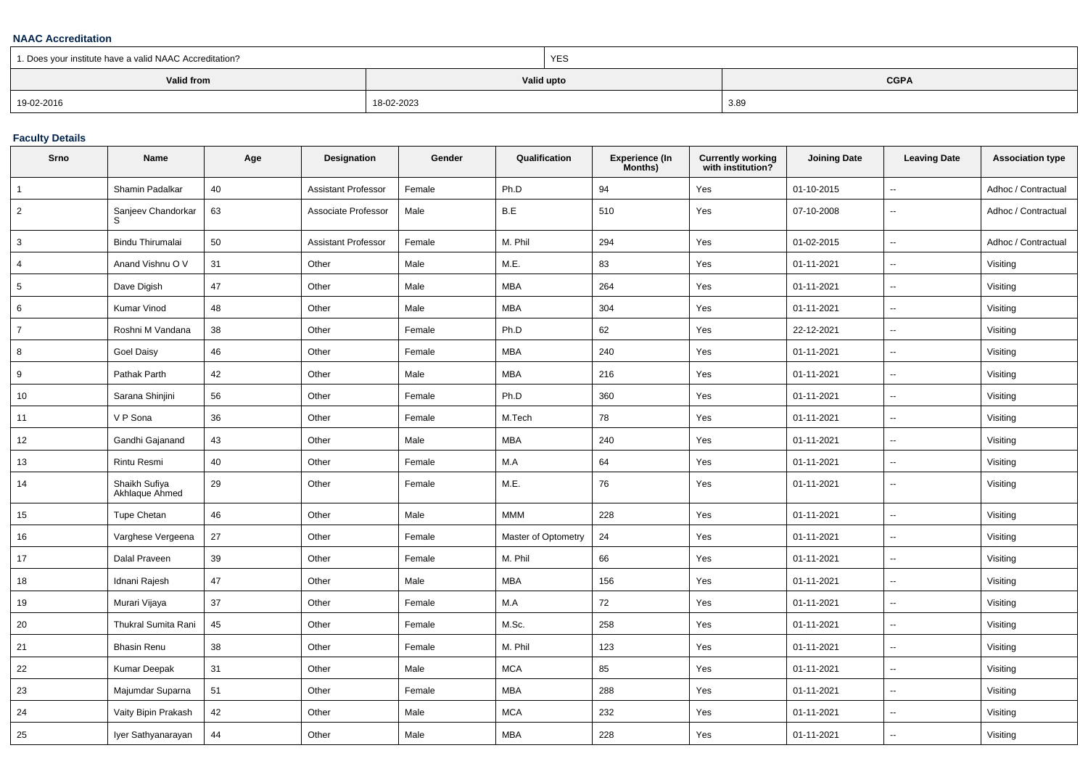#### **NAAC Accreditation**

| 1. Does your institute have a valid NAAC Accreditation? |            | <b>YES</b> |             |  |
|---------------------------------------------------------|------------|------------|-------------|--|
| Valid from                                              |            | Valid upto | <b>CGPA</b> |  |
| 19-02-2016                                              | 18-02-2023 |            | 3.89        |  |

## **Faculty Details**

| Srno            | Name                            | Age | Designation         | Gender | Qualification       | <b>Experience (In</b><br>Months) | <b>Currently working</b><br>with institution? | <b>Joining Date</b> | <b>Leaving Date</b>      | <b>Association type</b> |
|-----------------|---------------------------------|-----|---------------------|--------|---------------------|----------------------------------|-----------------------------------------------|---------------------|--------------------------|-------------------------|
| $\overline{1}$  | Shamin Padalkar                 | 40  | Assistant Professor | Female | Ph.D                | 94                               | Yes                                           | 01-10-2015          | $\overline{\phantom{a}}$ | Adhoc / Contractual     |
| $\overline{2}$  | Sanjeev Chandorkar              | 63  | Associate Professor | Male   | B.E                 | 510                              | Yes                                           | 07-10-2008          | $\mathbf{u}$             | Adhoc / Contractual     |
| 3               | Bindu Thirumalai                | 50  | Assistant Professor | Female | M. Phil             | 294                              | Yes                                           | 01-02-2015          | $\mathbf{u}$             | Adhoc / Contractual     |
| $\overline{4}$  | Anand Vishnu O V                | 31  | Other               | Male   | M.E.                | 83                               | Yes                                           | 01-11-2021          | $\sim$                   | Visiting                |
| $5\phantom{.0}$ | Dave Digish                     | 47  | Other               | Male   | <b>MBA</b>          | 264                              | Yes                                           | 01-11-2021          | $\overline{\phantom{a}}$ | Visiting                |
| 6               | Kumar Vinod                     | 48  | Other               | Male   | <b>MBA</b>          | 304                              | Yes                                           | 01-11-2021          | $\overline{\phantom{a}}$ | Visiting                |
| $\overline{7}$  | Roshni M Vandana                | 38  | Other               | Female | Ph.D                | 62                               | Yes                                           | 22-12-2021          | $\overline{\phantom{a}}$ | Visiting                |
| 8               | Goel Daisy                      | 46  | Other               | Female | <b>MBA</b>          | 240                              | Yes                                           | 01-11-2021          | $\overline{\phantom{a}}$ | Visiting                |
| 9               | Pathak Parth                    | 42  | Other               | Male   | <b>MBA</b>          | 216                              | Yes                                           | 01-11-2021          | $\sim$                   | Visiting                |
| 10              | Sarana Shinjini                 | 56  | Other               | Female | Ph.D                | 360                              | Yes                                           | 01-11-2021          | $\overline{\phantom{a}}$ | Visiting                |
| 11              | V P Sona                        | 36  | Other               | Female | M.Tech              | 78                               | Yes                                           | 01-11-2021          | $\overline{\phantom{a}}$ | Visiting                |
| 12              | Gandhi Gajanand                 | 43  | Other               | Male   | <b>MBA</b>          | 240                              | Yes                                           | 01-11-2021          | $\overline{\phantom{a}}$ | Visiting                |
| 13              | Rintu Resmi                     | 40  | Other               | Female | M.A                 | 64                               | Yes                                           | 01-11-2021          | $\overline{\phantom{a}}$ | Visiting                |
| 14              | Shaikh Sufiya<br>Akhlaque Ahmed | 29  | Other               | Female | M.E.                | 76                               | Yes                                           | 01-11-2021          | $\mathbf{u}$             | Visiting                |
| 15              | <b>Tupe Chetan</b>              | 46  | Other               | Male   | <b>MMM</b>          | 228                              | Yes                                           | 01-11-2021          | $\overline{\phantom{a}}$ | Visiting                |
| 16              | Varghese Vergeena               | 27  | Other               | Female | Master of Optometry | 24                               | Yes                                           | 01-11-2021          | $\overline{\phantom{a}}$ | Visiting                |
| 17              | Dalal Praveen                   | 39  | Other               | Female | M. Phil             | 66                               | Yes                                           | 01-11-2021          | $\overline{\phantom{a}}$ | Visiting                |
| 18              | Idnani Rajesh                   | 47  | Other               | Male   | <b>MBA</b>          | 156                              | Yes                                           | 01-11-2021          | $\sim$                   | Visiting                |
| 19              | Murari Vijaya                   | 37  | Other               | Female | M.A                 | 72                               | Yes                                           | 01-11-2021          | $\mathbf{u}$             | Visiting                |
| 20              | <b>Thukral Sumita Rani</b>      | 45  | Other               | Female | M.Sc.               | 258                              | Yes                                           | 01-11-2021          | $\sim$                   | Visiting                |
| 21              | <b>Bhasin Renu</b>              | 38  | Other               | Female | M. Phil             | 123                              | Yes                                           | 01-11-2021          | $\overline{\phantom{a}}$ | Visiting                |
| 22              | Kumar Deepak                    | 31  | Other               | Male   | <b>MCA</b>          | 85                               | Yes                                           | 01-11-2021          | $\overline{\phantom{a}}$ | Visiting                |
| 23              | Majumdar Suparna                | 51  | Other               | Female | <b>MBA</b>          | 288                              | Yes                                           | 01-11-2021          | $\overline{\phantom{a}}$ | Visiting                |
| 24              | Vaity Bipin Prakash             | 42  | Other               | Male   | <b>MCA</b>          | 232                              | Yes                                           | 01-11-2021          | $\sim$                   | Visiting                |
| 25              | Iyer Sathyanarayan              | 44  | Other               | Male   | <b>MBA</b>          | 228                              | Yes                                           | 01-11-2021          |                          | Visiting                |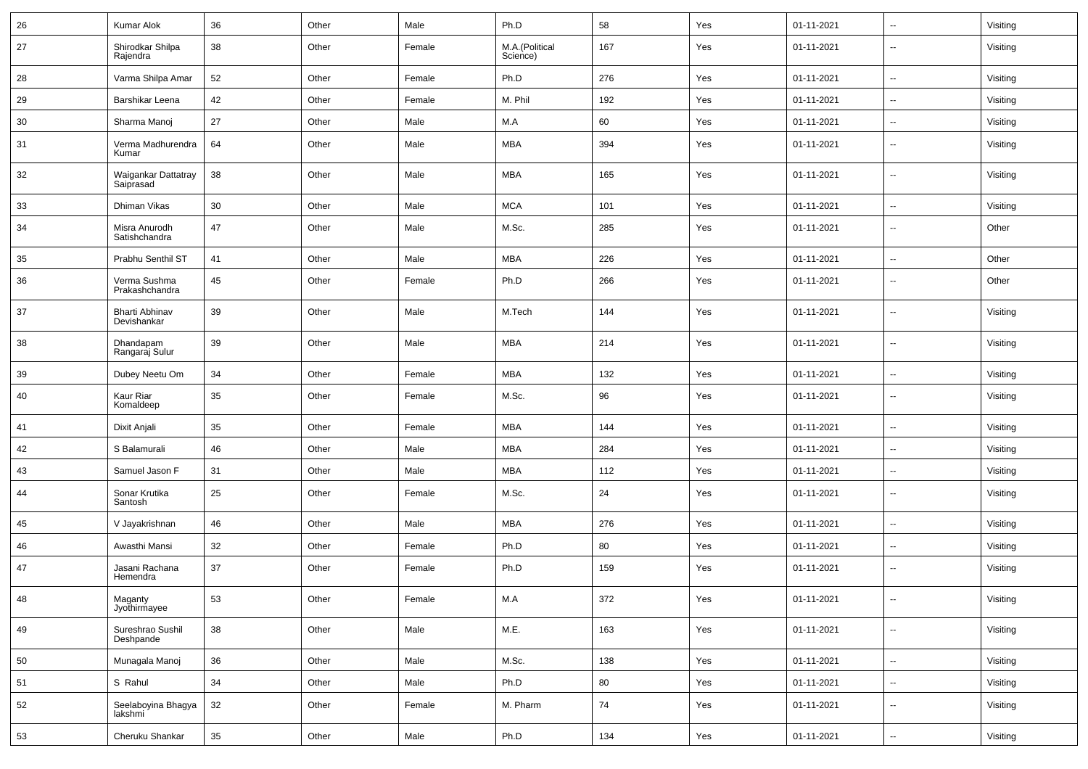| 26 | Kumar Alok                           | 36 | Other | Male   | Ph.D                       | 58  | Yes | 01-11-2021 | $\overline{\phantom{a}}$ | Visiting |
|----|--------------------------------------|----|-------|--------|----------------------------|-----|-----|------------|--------------------------|----------|
| 27 | Shirodkar Shilpa<br>Rajendra         | 38 | Other | Female | M.A.(Political<br>Science) | 167 | Yes | 01-11-2021 | --                       | Visiting |
| 28 | Varma Shilpa Amar                    | 52 | Other | Female | Ph.D                       | 276 | Yes | 01-11-2021 | --                       | Visiting |
| 29 | Barshikar Leena                      | 42 | Other | Female | M. Phil                    | 192 | Yes | 01-11-2021 | $\sim$                   | Visiting |
| 30 | Sharma Manoj                         | 27 | Other | Male   | M.A                        | 60  | Yes | 01-11-2021 | $\overline{\phantom{a}}$ | Visiting |
| 31 | Verma Madhurendra<br>Kumar           | 64 | Other | Male   | <b>MBA</b>                 | 394 | Yes | 01-11-2021 | Ξ.                       | Visiting |
| 32 | Waigankar Dattatray<br>Saiprasad     | 38 | Other | Male   | <b>MBA</b>                 | 165 | Yes | 01-11-2021 | Ξ.                       | Visiting |
| 33 | Dhiman Vikas                         | 30 | Other | Male   | <b>MCA</b>                 | 101 | Yes | 01-11-2021 | $\sim$                   | Visiting |
| 34 | Misra Anurodh<br>Satishchandra       | 47 | Other | Male   | M.Sc.                      | 285 | Yes | 01-11-2021 | $\ddot{\phantom{a}}$     | Other    |
| 35 | Prabhu Senthil ST                    | 41 | Other | Male   | <b>MBA</b>                 | 226 | Yes | 01-11-2021 | $\ddot{\phantom{a}}$     | Other    |
| 36 | Verma Sushma<br>Prakashchandra       | 45 | Other | Female | Ph.D                       | 266 | Yes | 01-11-2021 | $\overline{\phantom{a}}$ | Other    |
| 37 | <b>Bharti Abhinav</b><br>Devishankar | 39 | Other | Male   | M.Tech                     | 144 | Yes | 01-11-2021 | $\overline{\phantom{a}}$ | Visiting |
| 38 | Dhandapam<br>Rangaraj Sulur          | 39 | Other | Male   | <b>MBA</b>                 | 214 | Yes | 01-11-2021 | $\overline{\phantom{a}}$ | Visiting |
| 39 | Dubey Neetu Om                       | 34 | Other | Female | <b>MBA</b>                 | 132 | Yes | 01-11-2021 | $\sim$                   | Visiting |
| 40 | Kaur Riar<br>Komaldeep               | 35 | Other | Female | M.Sc.                      | 96  | Yes | 01-11-2021 | --                       | Visiting |
| 41 | Dixit Anjali                         | 35 | Other | Female | <b>MBA</b>                 | 144 | Yes | 01-11-2021 | $\overline{\phantom{a}}$ | Visiting |
| 42 | S Balamurali                         | 46 | Other | Male   | <b>MBA</b>                 | 284 | Yes | 01-11-2021 | --                       | Visiting |
| 43 | Samuel Jason F                       | 31 | Other | Male   | <b>MBA</b>                 | 112 | Yes | 01-11-2021 | $\overline{\phantom{a}}$ | Visiting |
| 44 | Sonar Krutika<br>Santosh             | 25 | Other | Female | M.Sc.                      | 24  | Yes | 01-11-2021 | Ξ.                       | Visiting |
| 45 | V Jayakrishnan                       | 46 | Other | Male   | <b>MBA</b>                 | 276 | Yes | 01-11-2021 | --                       | Visiting |
| 46 | Awasthi Mansi                        | 32 | Other | Female | Ph.D                       | 80  | Yes | 01-11-2021 | $\sim$                   | Visiting |
| 47 | Jasani Rachana<br>Hemendra           | 37 | Other | Female | Ph.D                       | 159 | Yes | 01-11-2021 | $\overline{\phantom{a}}$ | Visiting |
| 48 | Maganty<br>Jyothirmayee              | 53 | Other | Female | M.A                        | 372 | Yes | 01-11-2021 | $\ddotsc$                | Visiting |
| 49 | Sureshrao Sushil<br>Deshpande        | 38 | Other | Male   | M.E.                       | 163 | Yes | 01-11-2021 | $\sim$                   | Visiting |
| 50 | Munagala Manoj                       | 36 | Other | Male   | M.Sc.                      | 138 | Yes | 01-11-2021 | $\sim$                   | Visiting |
| 51 | S Rahul                              | 34 | Other | Male   | Ph.D                       | 80  | Yes | 01-11-2021 | $\sim$                   | Visiting |
| 52 | Seelaboyina Bhagya<br>lakshmi        | 32 | Other | Female | M. Pharm                   | 74  | Yes | 01-11-2021 | u.                       | Visiting |
| 53 | Cheruku Shankar                      | 35 | Other | Male   | Ph.D                       | 134 | Yes | 01-11-2021 | щ.                       | Visiting |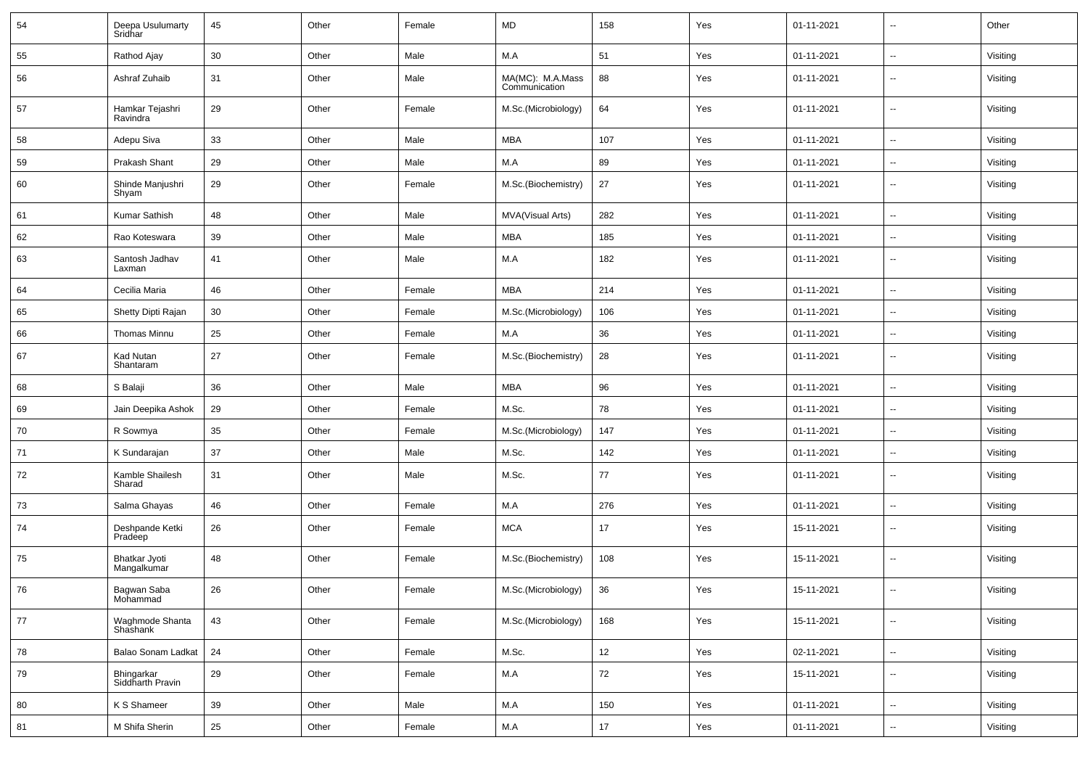| 54 | Deepa Usulumarty<br>Sridhar    | 45 | Other | Female | MD                                | 158 | Yes | 01-11-2021 | $\overline{\phantom{a}}$ | Other    |
|----|--------------------------------|----|-------|--------|-----------------------------------|-----|-----|------------|--------------------------|----------|
| 55 | Rathod Ajay                    | 30 | Other | Male   | M.A                               | 51  | Yes | 01-11-2021 | $\sim$                   | Visiting |
| 56 | Ashraf Zuhaib                  | 31 | Other | Male   | MA(MC): M.A.Mass<br>Communication | 88  | Yes | 01-11-2021 | --                       | Visiting |
| 57 | Hamkar Tejashri<br>Ravindra    | 29 | Other | Female | M.Sc.(Microbiology)               | 64  | Yes | 01-11-2021 | Ξ.                       | Visiting |
| 58 | Adepu Siva                     | 33 | Other | Male   | <b>MBA</b>                        | 107 | Yes | 01-11-2021 | --                       | Visiting |
| 59 | Prakash Shant                  | 29 | Other | Male   | M.A                               | 89  | Yes | 01-11-2021 | $\sim$                   | Visiting |
| 60 | Shinde Manjushri<br>Shyam      | 29 | Other | Female | M.Sc.(Biochemistry)               | 27  | Yes | 01-11-2021 | --                       | Visiting |
| 61 | Kumar Sathish                  | 48 | Other | Male   | <b>MVA(Visual Arts)</b>           | 282 | Yes | 01-11-2021 | $\overline{\phantom{a}}$ | Visiting |
| 62 | Rao Koteswara                  | 39 | Other | Male   | <b>MBA</b>                        | 185 | Yes | 01-11-2021 | Ξ.                       | Visiting |
| 63 | Santosh Jadhav<br>Laxman       | 41 | Other | Male   | M.A                               | 182 | Yes | 01-11-2021 | $\ddot{\phantom{a}}$     | Visiting |
| 64 | Cecilia Maria                  | 46 | Other | Female | <b>MBA</b>                        | 214 | Yes | 01-11-2021 | $\sim$                   | Visiting |
| 65 | Shetty Dipti Rajan             | 30 | Other | Female | M.Sc.(Microbiology)               | 106 | Yes | 01-11-2021 | $\sim$                   | Visiting |
| 66 | Thomas Minnu                   | 25 | Other | Female | M.A                               | 36  | Yes | 01-11-2021 | Ξ.                       | Visiting |
| 67 | Kad Nutan<br>Shantaram         | 27 | Other | Female | M.Sc.(Biochemistry)               | 28  | Yes | 01-11-2021 | Ξ.                       | Visiting |
| 68 | S Balaji                       | 36 | Other | Male   | <b>MBA</b>                        | 96  | Yes | 01-11-2021 | Ξ.                       | Visiting |
| 69 | Jain Deepika Ashok             | 29 | Other | Female | M.Sc.                             | 78  | Yes | 01-11-2021 | $\overline{\phantom{a}}$ | Visiting |
| 70 | R Sowmya                       | 35 | Other | Female | M.Sc.(Microbiology)               | 147 | Yes | 01-11-2021 | --                       | Visiting |
| 71 | K Sundarajan                   | 37 | Other | Male   | M.Sc.                             | 142 | Yes | 01-11-2021 | $\overline{\phantom{a}}$ | Visiting |
| 72 | Kamble Shailesh<br>Sharad      | 31 | Other | Male   | M.Sc.                             | 77  | Yes | 01-11-2021 | $\sim$                   | Visiting |
| 73 | Salma Ghayas                   | 46 | Other | Female | M.A                               | 276 | Yes | 01-11-2021 | $\overline{\phantom{a}}$ | Visiting |
| 74 | Deshpande Ketki<br>Pradeep     | 26 | Other | Female | <b>MCA</b>                        | 17  | Yes | 15-11-2021 | $\sim$                   | Visiting |
| 75 | Bhatkar Jyoti<br>Mangalkumar   | 48 | Other | Female | M.Sc.(Biochemistry)               | 108 | Yes | 15-11-2021 | --                       | Visiting |
| 76 | Bagwan Saba<br>Mohammad        | 26 | Other | Female | M.Sc.(Microbiology)               | 36  | Yes | 15-11-2021 | $\sim$                   | Visiting |
| 77 | Waghmode Shanta<br>Shashank    | 43 | Other | Female | M.Sc.(Microbiology)               | 168 | Yes | 15-11-2021 | --                       | Visiting |
| 78 | Balao Sonam Ladkat             | 24 | Other | Female | M.Sc.                             | 12  | Yes | 02-11-2021 | $\sim$                   | Visiting |
| 79 | Bhingarkar<br>Siddharth Pravin | 29 | Other | Female | M.A                               | 72  | Yes | 15-11-2021 | $\overline{\phantom{a}}$ | Visiting |
| 80 | K S Shameer                    | 39 | Other | Male   | M.A                               | 150 | Yes | 01-11-2021 | u.                       | Visiting |
| 81 | M Shifa Sherin                 | 25 | Other | Female | M.A                               | 17  | Yes | 01-11-2021 | $\overline{\phantom{a}}$ | Visiting |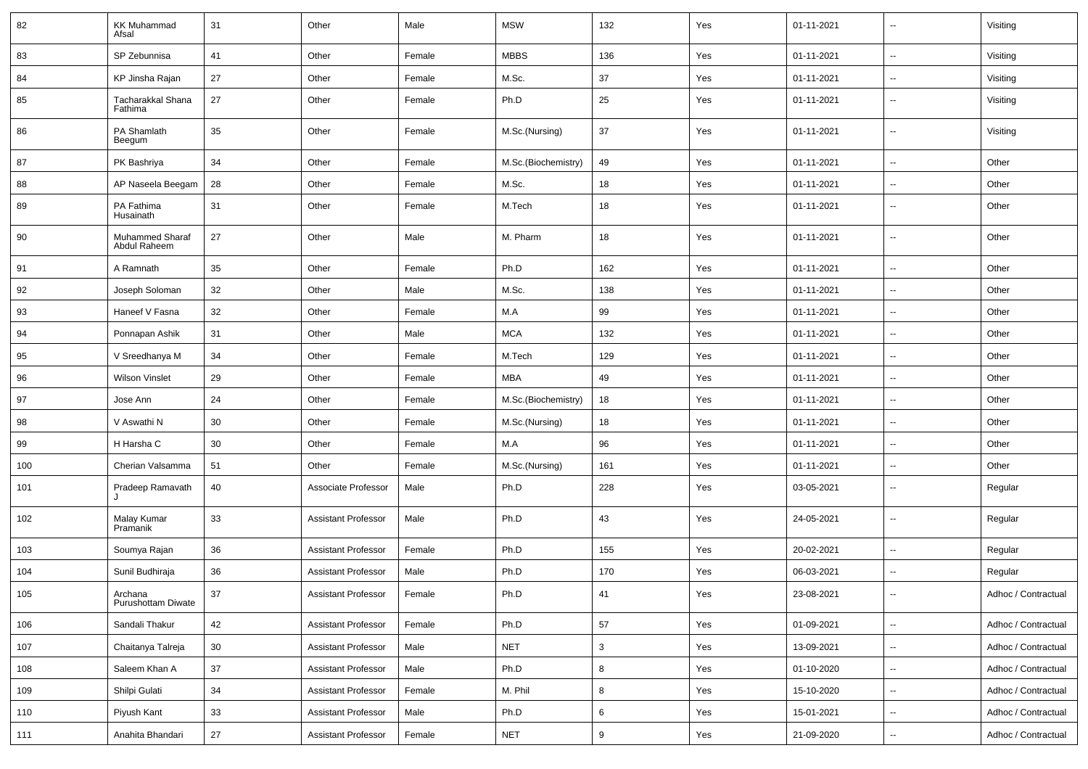| 82  | <b>KK Muhammad</b><br>Afsal     | 31 | Other                      | Male   | <b>MSW</b>          | 132 | Yes | 01-11-2021 | $\overline{\phantom{a}}$ | Visiting            |
|-----|---------------------------------|----|----------------------------|--------|---------------------|-----|-----|------------|--------------------------|---------------------|
| 83  | SP Zebunnisa                    | 41 | Other                      | Female | <b>MBBS</b>         | 136 | Yes | 01-11-2021 | $\sim$                   | Visiting            |
| 84  | KP Jinsha Rajan                 | 27 | Other                      | Female | M.Sc.               | 37  | Yes | 01-11-2021 | ⊷.                       | Visiting            |
| 85  | Tacharakkal Shana<br>Fathima    | 27 | Other                      | Female | Ph.D                | 25  | Yes | 01-11-2021 | $\sim$                   | Visiting            |
| 86  | PA Shamlath<br>Beegum           | 35 | Other                      | Female | M.Sc.(Nursing)      | 37  | Yes | 01-11-2021 | $\sim$                   | Visiting            |
| 87  | PK Bashriya                     | 34 | Other                      | Female | M.Sc.(Biochemistry) | 49  | Yes | 01-11-2021 | $\sim$                   | Other               |
| 88  | AP Naseela Beegam               | 28 | Other                      | Female | M.Sc.               | 18  | Yes | 01-11-2021 | $\overline{\phantom{a}}$ | Other               |
| 89  | PA Fathima<br>Husainath         | 31 | Other                      | Female | M.Tech              | 18  | Yes | 01-11-2021 | ⊷                        | Other               |
| 90  | Muhammed Sharaf<br>Abdul Raheem | 27 | Other                      | Male   | M. Pharm            | 18  | Yes | 01-11-2021 | --                       | Other               |
| 91  | A Ramnath                       | 35 | Other                      | Female | Ph.D                | 162 | Yes | 01-11-2021 | н.                       | Other               |
| 92  | Joseph Soloman                  | 32 | Other                      | Male   | M.Sc.               | 138 | Yes | 01-11-2021 | $\sim$                   | Other               |
| 93  | Haneef V Fasna                  | 32 | Other                      | Female | M.A                 | 99  | Yes | 01-11-2021 | $\sim$                   | Other               |
| 94  | Ponnapan Ashik                  | 31 | Other                      | Male   | <b>MCA</b>          | 132 | Yes | 01-11-2021 | ⊷.                       | Other               |
| 95  | V Sreedhanya M                  | 34 | Other                      | Female | M.Tech              | 129 | Yes | 01-11-2021 | $\sim$                   | Other               |
| 96  | <b>Wilson Vinslet</b>           | 29 | Other                      | Female | <b>MBA</b>          | 49  | Yes | 01-11-2021 | $\overline{\phantom{a}}$ | Other               |
| 97  | Jose Ann                        | 24 | Other                      | Female | M.Sc.(Biochemistry) | 18  | Yes | 01-11-2021 | Ξ.                       | Other               |
| 98  | V Aswathi N                     | 30 | Other                      | Female | M.Sc.(Nursing)      | 18  | Yes | 01-11-2021 | $\overline{\phantom{a}}$ | Other               |
| 99  | H Harsha C                      | 30 | Other                      | Female | M.A                 | 96  | Yes | 01-11-2021 | $\sim$                   | Other               |
| 100 | Cherian Valsamma                | 51 | Other                      | Female | M.Sc.(Nursing)      | 161 | Yes | 01-11-2021 | ⊷.                       | Other               |
| 101 | Pradeep Ramavath                | 40 | Associate Professor        | Male   | Ph.D                | 228 | Yes | 03-05-2021 | ⊷.                       | Regular             |
| 102 | Malay Kumar<br>Pramanik         | 33 | <b>Assistant Professor</b> | Male   | Ph.D                | 43  | Yes | 24-05-2021 | $\overline{\phantom{a}}$ | Regular             |
| 103 | Soumya Rajan                    | 36 | <b>Assistant Professor</b> | Female | Ph.D                | 155 | Yes | 20-02-2021 | -−                       | Regular             |
| 104 | Sunil Budhiraja                 | 36 | <b>Assistant Professor</b> | Male   | Ph.D                | 170 | Yes | 06-03-2021 | ⊶.                       | Regular             |
| 105 | Archana<br>Purushottam Diwate   | 37 | Assistant Professor        | Female | Ph.D                | 41  | Yes | 23-08-2021 |                          | Adhoc / Contractual |
| 106 | Sandali Thakur                  | 42 | <b>Assistant Professor</b> | Female | Ph.D                | 57  | Yes | 01-09-2021 | Щ.                       | Adhoc / Contractual |
| 107 | Chaitanya Talreja               | 30 | <b>Assistant Professor</b> | Male   | <b>NET</b>          | 3   | Yes | 13-09-2021 | u.                       | Adhoc / Contractual |
| 108 | Saleem Khan A                   | 37 | <b>Assistant Professor</b> | Male   | Ph.D                | 8   | Yes | 01-10-2020 | ц,                       | Adhoc / Contractual |
| 109 | Shilpi Gulati                   | 34 | <b>Assistant Professor</b> | Female | M. Phil             | 8   | Yes | 15-10-2020 | Щ,                       | Adhoc / Contractual |
| 110 | Piyush Kant                     | 33 | <b>Assistant Professor</b> | Male   | Ph.D                | 6   | Yes | 15-01-2021 | --                       | Adhoc / Contractual |
| 111 | Anahita Bhandari                | 27 | <b>Assistant Professor</b> | Female | <b>NET</b>          | 9   | Yes | 21-09-2020 | н.                       | Adhoc / Contractual |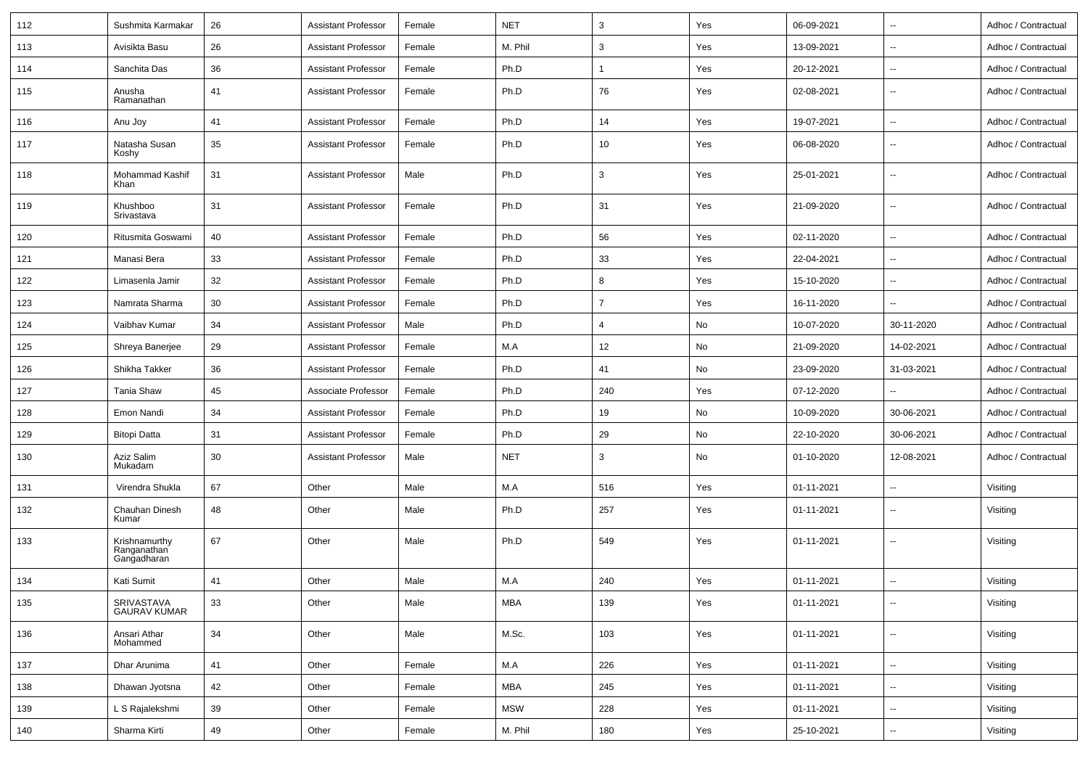| 112 | Sushmita Karmakar                           | 26 | <b>Assistant Professor</b> | Female | <b>NET</b> | 3              | Yes | 06-09-2021 | $\overline{\phantom{a}}$ | Adhoc / Contractual |
|-----|---------------------------------------------|----|----------------------------|--------|------------|----------------|-----|------------|--------------------------|---------------------|
| 113 | Avisikta Basu                               | 26 | <b>Assistant Professor</b> | Female | M. Phil    | 3              | Yes | 13-09-2021 | $\overline{\phantom{a}}$ | Adhoc / Contractual |
| 114 | Sanchita Das                                | 36 | <b>Assistant Professor</b> | Female | Ph.D       | 1              | Yes | 20-12-2021 | $\sim$                   | Adhoc / Contractual |
| 115 | Anusha<br>Ramanathan                        | 41 | <b>Assistant Professor</b> | Female | Ph.D       | 76             | Yes | 02-08-2021 | $\sim$                   | Adhoc / Contractual |
| 116 | Anu Joy                                     | 41 | <b>Assistant Professor</b> | Female | Ph.D       | 14             | Yes | 19-07-2021 | $\sim$                   | Adhoc / Contractual |
| 117 | Natasha Susan<br>Koshy                      | 35 | <b>Assistant Professor</b> | Female | Ph.D       | 10             | Yes | 06-08-2020 | $\overline{\phantom{a}}$ | Adhoc / Contractual |
| 118 | Mohammad Kashif<br>Khan                     | 31 | <b>Assistant Professor</b> | Male   | Ph.D       | 3              | Yes | 25-01-2021 | $\overline{\phantom{a}}$ | Adhoc / Contractual |
| 119 | Khushboo<br>Srivastava                      | 31 | <b>Assistant Professor</b> | Female | Ph.D       | 31             | Yes | 21-09-2020 | $\sim$                   | Adhoc / Contractual |
| 120 | Ritusmita Goswami                           | 40 | <b>Assistant Professor</b> | Female | Ph.D       | 56             | Yes | 02-11-2020 | $\sim$                   | Adhoc / Contractual |
| 121 | Manasi Bera                                 | 33 | <b>Assistant Professor</b> | Female | Ph.D       | 33             | Yes | 22-04-2021 | $\sim$                   | Adhoc / Contractual |
| 122 | Limasenla Jamir                             | 32 | <b>Assistant Professor</b> | Female | Ph.D       | 8              | Yes | 15-10-2020 | $\sim$                   | Adhoc / Contractual |
| 123 | Namrata Sharma                              | 30 | <b>Assistant Professor</b> | Female | Ph.D       | $\overline{7}$ | Yes | 16-11-2020 | $\overline{\phantom{a}}$ | Adhoc / Contractual |
| 124 | Vaibhav Kumar                               | 34 | <b>Assistant Professor</b> | Male   | Ph.D       | $\overline{4}$ | No  | 10-07-2020 | 30-11-2020               | Adhoc / Contractual |
| 125 | Shreya Banerjee                             | 29 | <b>Assistant Professor</b> | Female | M.A        | 12             | No  | 21-09-2020 | 14-02-2021               | Adhoc / Contractual |
| 126 | Shikha Takker                               | 36 | <b>Assistant Professor</b> | Female | Ph.D       | 41             | No  | 23-09-2020 | 31-03-2021               | Adhoc / Contractual |
| 127 | <b>Tania Shaw</b>                           | 45 | Associate Professor        | Female | Ph.D       | 240            | Yes | 07-12-2020 | $\sim$                   | Adhoc / Contractual |
| 128 | Emon Nandi                                  | 34 | <b>Assistant Professor</b> | Female | Ph.D       | 19             | No  | 10-09-2020 | 30-06-2021               | Adhoc / Contractual |
| 129 | <b>Bitopi Datta</b>                         | 31 | <b>Assistant Professor</b> | Female | Ph.D       | 29             | No  | 22-10-2020 | 30-06-2021               | Adhoc / Contractual |
| 130 | Aziz Salim<br>Mukadam                       | 30 | <b>Assistant Professor</b> | Male   | <b>NET</b> | 3              | No  | 01-10-2020 | 12-08-2021               | Adhoc / Contractual |
| 131 | Virendra Shukla                             | 67 | Other                      | Male   | M.A        | 516            | Yes | 01-11-2021 | $\sim$                   | Visiting            |
| 132 | Chauhan Dinesh<br>Kumar                     | 48 | Other                      | Male   | Ph.D       | 257            | Yes | 01-11-2021 | $\overline{\phantom{a}}$ | Visiting            |
| 133 | Krishnamurthy<br>Ranganathan<br>Gangadharan | 67 | Other                      | Male   | Ph.D       | 549            | Yes | 01-11-2021 | $\overline{\phantom{a}}$ | Visiting            |
| 134 | Kati Sumit                                  | 41 | Other                      | Male   | M.A        | 240            | Yes | 01-11-2021 |                          | Visiting            |
| 135 | SRIVASTAVA<br>GAURAV KUMAR                  | 33 | Other                      | Male   | <b>MBA</b> | 139            | Yes | 01-11-2021 | $\rightarrow$            | Visiting            |
| 136 | Ansari Athar<br>Mohammed                    | 34 | Other                      | Male   | M.Sc.      | 103            | Yes | 01-11-2021 | $\sim$                   | Visiting            |
| 137 | Dhar Arunima                                | 41 | Other                      | Female | M.A        | 226            | Yes | 01-11-2021 | $\sim$                   | Visiting            |
| 138 | Dhawan Jyotsna                              | 42 | Other                      | Female | <b>MBA</b> | 245            | Yes | 01-11-2021 | $\sim$                   | Visiting            |
| 139 | L S Rajalekshmi                             | 39 | Other                      | Female | <b>MSW</b> | 228            | Yes | 01-11-2021 | $\sim$                   | Visiting            |
| 140 | Sharma Kirti                                | 49 | Other                      | Female | M. Phil    | 180            | Yes | 25-10-2021 | $\overline{\phantom{a}}$ | Visiting            |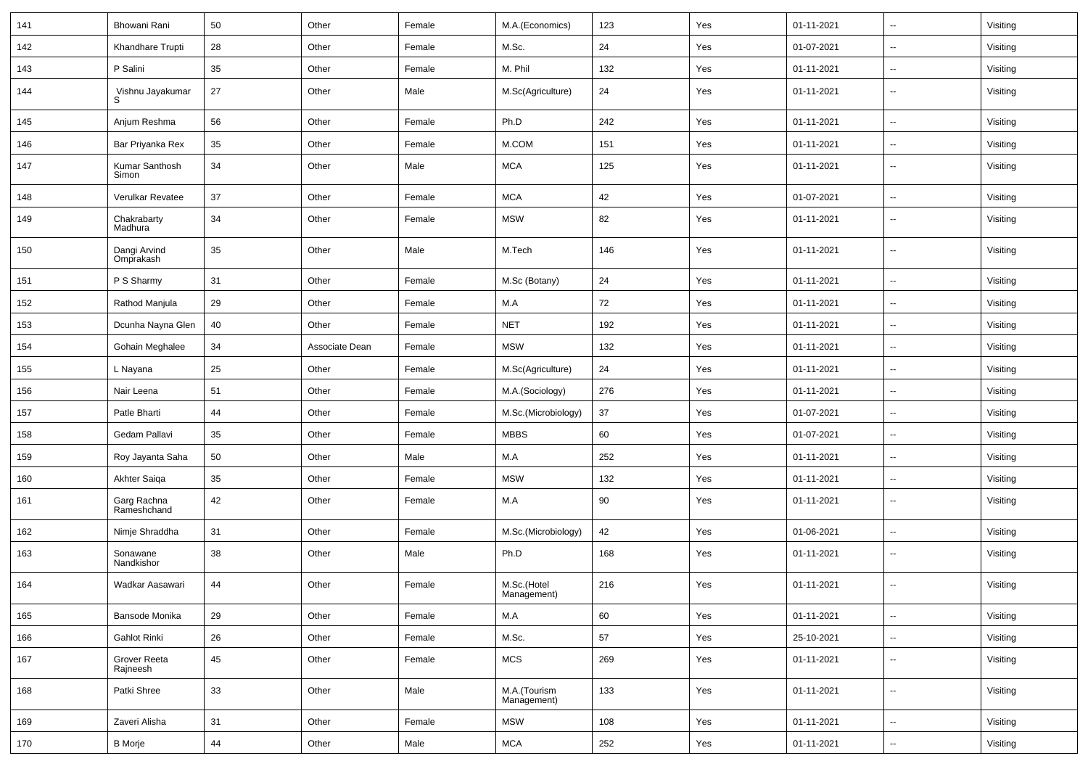| 141 | Bhowani Rani               | 50 | Other          | Female | M.A.(Economics)             | 123 | Yes | 01-11-2021 | $\overline{\phantom{a}}$ | Visiting |
|-----|----------------------------|----|----------------|--------|-----------------------------|-----|-----|------------|--------------------------|----------|
| 142 | Khandhare Trupti           | 28 | Other          | Female | M.Sc.                       | 24  | Yes | 01-07-2021 | $\overline{\phantom{a}}$ | Visiting |
| 143 | P Salini                   | 35 | Other          | Female | M. Phil                     | 132 | Yes | 01-11-2021 | $\overline{\phantom{a}}$ | Visiting |
| 144 | Vishnu Jayakumar<br>S      | 27 | Other          | Male   | M.Sc(Agriculture)           | 24  | Yes | 01-11-2021 | $\sim$                   | Visiting |
| 145 | Anjum Reshma               | 56 | Other          | Female | Ph.D                        | 242 | Yes | 01-11-2021 | $\overline{\phantom{a}}$ | Visiting |
| 146 | Bar Priyanka Rex           | 35 | Other          | Female | M.COM                       | 151 | Yes | 01-11-2021 | $\overline{\phantom{a}}$ | Visiting |
| 147 | Kumar Santhosh<br>Simon    | 34 | Other          | Male   | <b>MCA</b>                  | 125 | Yes | 01-11-2021 | $\overline{\phantom{a}}$ | Visiting |
| 148 | Verulkar Revatee           | 37 | Other          | Female | <b>MCA</b>                  | 42  | Yes | 01-07-2021 | $\overline{\phantom{a}}$ | Visiting |
| 149 | Chakrabarty<br>Madhura     | 34 | Other          | Female | <b>MSW</b>                  | 82  | Yes | 01-11-2021 | $\sim$                   | Visiting |
| 150 | Dangi Arvind<br>Omprakash  | 35 | Other          | Male   | M.Tech                      | 146 | Yes | 01-11-2021 | $\overline{\phantom{a}}$ | Visiting |
| 151 | P S Sharmy                 | 31 | Other          | Female | M.Sc (Botany)               | 24  | Yes | 01-11-2021 | $\overline{\phantom{a}}$ | Visiting |
| 152 | Rathod Manjula             | 29 | Other          | Female | M.A                         | 72  | Yes | 01-11-2021 | $\overline{\phantom{a}}$ | Visiting |
| 153 | Dcunha Nayna Glen          | 40 | Other          | Female | <b>NET</b>                  | 192 | Yes | 01-11-2021 | $\overline{\phantom{a}}$ | Visiting |
| 154 | Gohain Meghalee            | 34 | Associate Dean | Female | <b>MSW</b>                  | 132 | Yes | 01-11-2021 | $\overline{\phantom{a}}$ | Visiting |
| 155 | L Nayana                   | 25 | Other          | Female | M.Sc(Agriculture)           | 24  | Yes | 01-11-2021 | $\overline{\phantom{a}}$ | Visiting |
| 156 | Nair Leena                 | 51 | Other          | Female | M.A.(Sociology)             | 276 | Yes | 01-11-2021 | $\overline{\phantom{a}}$ | Visiting |
| 157 | Patle Bharti               | 44 | Other          | Female | M.Sc.(Microbiology)         | 37  | Yes | 01-07-2021 | $\overline{\phantom{a}}$ | Visiting |
| 158 | Gedam Pallavi              | 35 | Other          | Female | <b>MBBS</b>                 | 60  | Yes | 01-07-2021 | $\sim$                   | Visiting |
| 159 | Roy Jayanta Saha           | 50 | Other          | Male   | M.A                         | 252 | Yes | 01-11-2021 | $\overline{\phantom{a}}$ | Visiting |
| 160 | Akhter Saiga               | 35 | Other          | Female | <b>MSW</b>                  | 132 | Yes | 01-11-2021 | $\overline{\phantom{a}}$ | Visiting |
| 161 | Garg Rachna<br>Rameshchand | 42 | Other          | Female | M.A                         | 90  | Yes | 01-11-2021 | $\overline{\phantom{a}}$ | Visiting |
| 162 | Nimje Shraddha             | 31 | Other          | Female | M.Sc.(Microbiology)         | 42  | Yes | 01-06-2021 | $\overline{\phantom{a}}$ | Visiting |
| 163 | Sonawane<br>Nandkishor     | 38 | Other          | Male   | Ph.D                        | 168 | Yes | 01-11-2021 | $\overline{\phantom{a}}$ | Visiting |
| 164 | Wadkar Aasawari            | 44 | Other          | Female | M.Sc.(Hotel<br>Management)  | 216 | Yes | 01-11-2021 | $\overline{\phantom{a}}$ | Visiting |
| 165 | Bansode Monika             | 29 | Other          | Female | M.A                         | 60  | Yes | 01-11-2021 | $\overline{\phantom{a}}$ | Visiting |
| 166 | <b>Gahlot Rinki</b>        | 26 | Other          | Female | M.Sc.                       | 57  | Yes | 25-10-2021 | $\sim$                   | Visiting |
| 167 | Grover Reeta<br>Rajneesh   | 45 | Other          | Female | MCS                         | 269 | Yes | 01-11-2021 | $\sim$                   | Visiting |
| 168 | Patki Shree                | 33 | Other          | Male   | M.A.(Tourism<br>Management) | 133 | Yes | 01-11-2021 | $\sim$                   | Visiting |
| 169 | Zaveri Alisha              | 31 | Other          | Female | <b>MSW</b>                  | 108 | Yes | 01-11-2021 | $\sim$                   | Visiting |
| 170 | <b>B</b> Morje             | 44 | Other          | Male   | $\sf MCA$                   | 252 | Yes | 01-11-2021 | $\sim$                   | Visiting |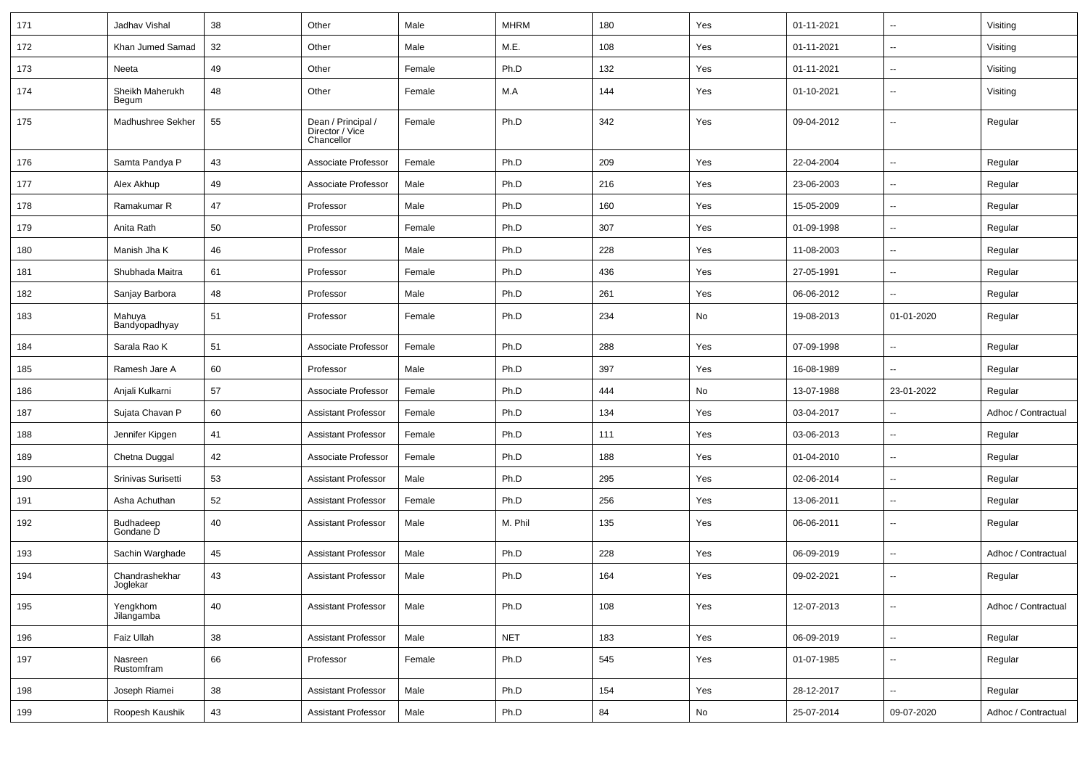| 171 | Jadhav Vishal              | 38 | Other                                               | Male   | <b>MHRM</b> | 180 | Yes | 01-11-2021 | $\overline{\phantom{a}}$ | Visiting            |
|-----|----------------------------|----|-----------------------------------------------------|--------|-------------|-----|-----|------------|--------------------------|---------------------|
| 172 | Khan Jumed Samad           | 32 | Other                                               | Male   | M.E.        | 108 | Yes | 01-11-2021 | $\overline{a}$           | Visiting            |
| 173 | Neeta                      | 49 | Other                                               | Female | Ph.D        | 132 | Yes | 01-11-2021 | $\overline{a}$           | Visiting            |
| 174 | Sheikh Maherukh<br>Begum   | 48 | Other                                               | Female | M.A         | 144 | Yes | 01-10-2021 | $\overline{a}$           | Visiting            |
| 175 | Madhushree Sekher          | 55 | Dean / Principal /<br>Director / Vice<br>Chancellor | Female | Ph.D        | 342 | Yes | 09-04-2012 | --                       | Regular             |
| 176 | Samta Pandya P             | 43 | Associate Professor                                 | Female | Ph.D        | 209 | Yes | 22-04-2004 | $\overline{a}$           | Regular             |
| 177 | Alex Akhup                 | 49 | Associate Professor                                 | Male   | Ph.D        | 216 | Yes | 23-06-2003 | $\overline{a}$           | Regular             |
| 178 | Ramakumar R                | 47 | Professor                                           | Male   | Ph.D        | 160 | Yes | 15-05-2009 | $\overline{\phantom{a}}$ | Regular             |
| 179 | Anita Rath                 | 50 | Professor                                           | Female | Ph.D        | 307 | Yes | 01-09-1998 | ⊷.                       | Regular             |
| 180 | Manish Jha K               | 46 | Professor                                           | Male   | Ph.D        | 228 | Yes | 11-08-2003 | ⊷.                       | Regular             |
| 181 | Shubhada Maitra            | 61 | Professor                                           | Female | Ph.D        | 436 | Yes | 27-05-1991 | $\overline{\phantom{a}}$ | Regular             |
| 182 | Sanjay Barbora             | 48 | Professor                                           | Male   | Ph.D        | 261 | Yes | 06-06-2012 | $\overline{a}$           | Regular             |
| 183 | Mahuya<br>Bandyopadhyay    | 51 | Professor                                           | Female | Ph.D        | 234 | No  | 19-08-2013 | 01-01-2020               | Regular             |
| 184 | Sarala Rao K               | 51 | Associate Professor                                 | Female | Ph.D        | 288 | Yes | 07-09-1998 | -−                       | Regular             |
| 185 | Ramesh Jare A              | 60 | Professor                                           | Male   | Ph.D        | 397 | Yes | 16-08-1989 | ۵.                       | Regular             |
| 186 | Anjali Kulkarni            | 57 | Associate Professor                                 | Female | Ph.D        | 444 | No  | 13-07-1988 | 23-01-2022               | Regular             |
| 187 | Sujata Chavan P            | 60 | <b>Assistant Professor</b>                          | Female | Ph.D        | 134 | Yes | 03-04-2017 | --                       | Adhoc / Contractual |
| 188 | Jennifer Kipgen            | 41 | <b>Assistant Professor</b>                          | Female | Ph.D        | 111 | Yes | 03-06-2013 | $\overline{\phantom{a}}$ | Regular             |
| 189 | Chetna Duggal              | 42 | Associate Professor                                 | Female | Ph.D        | 188 | Yes | 01-04-2010 | --                       | Regular             |
| 190 | Srinivas Surisetti         | 53 | <b>Assistant Professor</b>                          | Male   | Ph.D        | 295 | Yes | 02-06-2014 | --                       | Regular             |
| 191 | Asha Achuthan              | 52 | <b>Assistant Professor</b>                          | Female | Ph.D        | 256 | Yes | 13-06-2011 | $\overline{\phantom{a}}$ | Regular             |
| 192 | Budhadeep<br>Gondane D     | 40 | <b>Assistant Professor</b>                          | Male   | M. Phil     | 135 | Yes | 06-06-2011 | $\overline{\phantom{a}}$ | Regular             |
| 193 | Sachin Warghade            | 45 | <b>Assistant Professor</b>                          | Male   | Ph.D        | 228 | Yes | 06-09-2019 | $\overline{\phantom{a}}$ | Adhoc / Contractual |
| 194 | Chandrashekhar<br>Joglekar | 43 | <b>Assistant Professor</b>                          | Male   | Ph.D        | 164 | Yes | 09-02-2021 | --                       | Regular             |
| 195 | Yengkhom<br>Jilangamba     | 40 | <b>Assistant Professor</b>                          | Male   | Ph.D        | 108 | Yes | 12-07-2013 | ₩,                       | Adhoc / Contractual |
| 196 | Faiz Ullah                 | 38 | <b>Assistant Professor</b>                          | Male   | <b>NET</b>  | 183 | Yes | 06-09-2019 | $\sim$                   | Regular             |
| 197 | Nasreen<br>Rustomfram      | 66 | Professor                                           | Female | Ph.D        | 545 | Yes | 01-07-1985 | $\sim$                   | Regular             |
| 198 | Joseph Riamei              | 38 | <b>Assistant Professor</b>                          | Male   | Ph.D        | 154 | Yes | 28-12-2017 | Ξ.                       | Regular             |
| 199 | Roopesh Kaushik            | 43 | <b>Assistant Professor</b>                          | Male   | Ph.D        | 84  | No  | 25-07-2014 | 09-07-2020               | Adhoc / Contractual |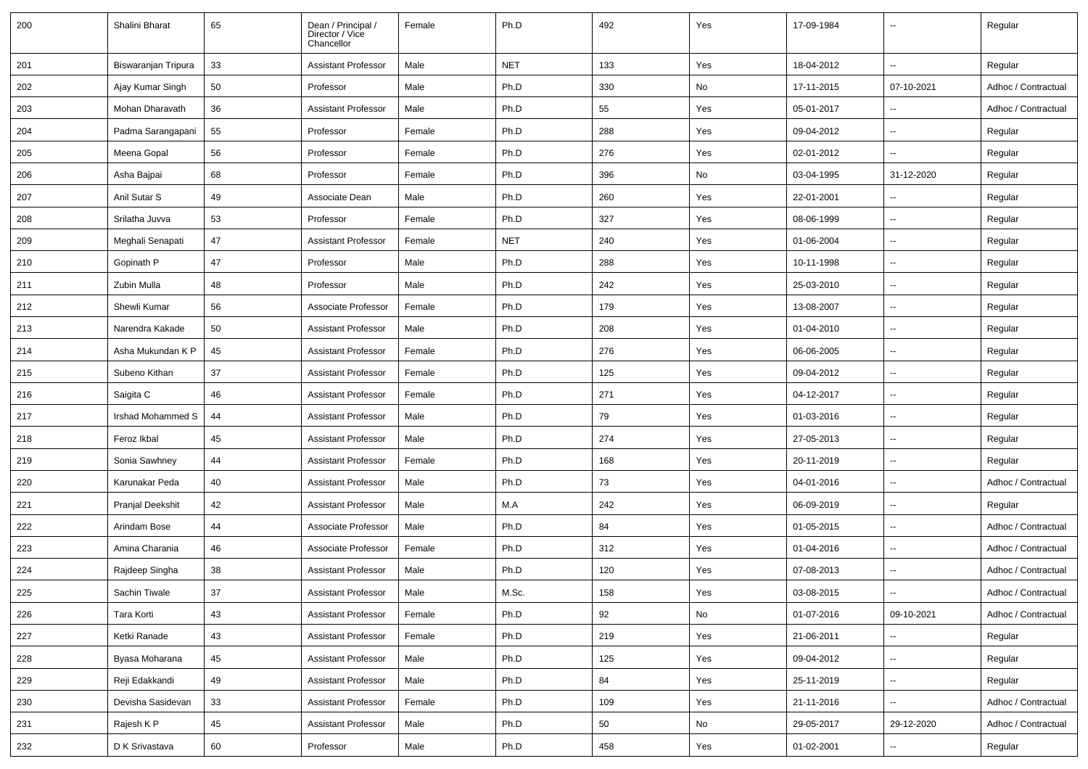| 200 | Shalini Bharat         | 65     | Dean / Principal /<br>Director / Vice<br>Chancellor | Female | Ph.D       | 492 | Yes | 17-09-1984 | $\overline{\phantom{a}}$ | Regular             |
|-----|------------------------|--------|-----------------------------------------------------|--------|------------|-----|-----|------------|--------------------------|---------------------|
| 201 | Biswaranjan Tripura    | 33     | <b>Assistant Professor</b>                          | Male   | <b>NET</b> | 133 | Yes | 18-04-2012 | $\ddotsc$                | Regular             |
| 202 | Ajay Kumar Singh       | 50     | Professor                                           | Male   | Ph.D       | 330 | No  | 17-11-2015 | 07-10-2021               | Adhoc / Contractual |
| 203 | <b>Mohan Dharavath</b> | 36     | <b>Assistant Professor</b>                          | Male   | Ph.D       | 55  | Yes | 05-01-2017 | $\overline{\phantom{a}}$ | Adhoc / Contractual |
| 204 | Padma Sarangapani      | 55     | Professor                                           | Female | Ph.D       | 288 | Yes | 09-04-2012 | $\sim$                   | Regular             |
| 205 | Meena Gopal            | 56     | Professor                                           | Female | Ph.D       | 276 | Yes | 02-01-2012 | $\sim$                   | Regular             |
| 206 | Asha Bajpai            | 68     | Professor                                           | Female | Ph.D       | 396 | No  | 03-04-1995 | 31-12-2020               | Regular             |
| 207 | Anil Sutar S           | 49     | Associate Dean                                      | Male   | Ph.D       | 260 | Yes | 22-01-2001 | $\overline{\phantom{a}}$ | Regular             |
| 208 | Srilatha Juvva         | 53     | Professor                                           | Female | Ph.D       | 327 | Yes | 08-06-1999 | $\overline{\phantom{a}}$ | Regular             |
| 209 | Meghali Senapati       | 47     | <b>Assistant Professor</b>                          | Female | <b>NET</b> | 240 | Yes | 01-06-2004 | $\overline{\phantom{a}}$ | Regular             |
| 210 | Gopinath P             | 47     | Professor                                           | Male   | Ph.D       | 288 | Yes | 10-11-1998 | $\overline{\phantom{a}}$ | Regular             |
| 211 | Zubin Mulla            | 48     | Professor                                           | Male   | Ph.D       | 242 | Yes | 25-03-2010 | $\overline{\phantom{a}}$ | Regular             |
| 212 | Shewli Kumar           | 56     | Associate Professor                                 | Female | Ph.D       | 179 | Yes | 13-08-2007 | $\overline{\phantom{a}}$ | Regular             |
| 213 | Narendra Kakade        | 50     | <b>Assistant Professor</b>                          | Male   | Ph.D       | 208 | Yes | 01-04-2010 | $\overline{\phantom{a}}$ | Regular             |
| 214 | Asha Mukundan K P      | 45     | <b>Assistant Professor</b>                          | Female | Ph.D       | 276 | Yes | 06-06-2005 | $\overline{\phantom{a}}$ | Regular             |
| 215 | Subeno Kithan          | 37     | <b>Assistant Professor</b>                          | Female | Ph.D       | 125 | Yes | 09-04-2012 | $\overline{\phantom{a}}$ | Regular             |
| 216 | Saigita C              | 46     | <b>Assistant Professor</b>                          | Female | Ph.D       | 271 | Yes | 04-12-2017 | $\overline{\phantom{a}}$ | Regular             |
| 217 | Irshad Mohammed S      | 44     | <b>Assistant Professor</b>                          | Male   | Ph.D       | 79  | Yes | 01-03-2016 | $\overline{\phantom{a}}$ | Regular             |
| 218 | Feroz Ikbal            | 45     | <b>Assistant Professor</b>                          | Male   | Ph.D       | 274 | Yes | 27-05-2013 | $\overline{\phantom{a}}$ | Regular             |
| 219 | Sonia Sawhney          | 44     | <b>Assistant Professor</b>                          | Female | Ph.D       | 168 | Yes | 20-11-2019 | $\ddot{\phantom{a}}$     | Regular             |
| 220 | Karunakar Peda         | 40     | <b>Assistant Professor</b>                          | Male   | Ph.D       | 73  | Yes | 04-01-2016 | $\overline{\phantom{a}}$ | Adhoc / Contractual |
| 221 | Pranjal Deekshit       | 42     | <b>Assistant Professor</b>                          | Male   | M.A        | 242 | Yes | 06-09-2019 | $\overline{\phantom{a}}$ | Regular             |
| 222 | Arindam Bose           | 44     | Associate Professor                                 | Male   | Ph.D       | 84  | Yes | 01-05-2015 | $\overline{\phantom{a}}$ | Adhoc / Contractual |
| 223 | Amina Charania         | 46     | Associate Professor                                 | Female | Ph.D       | 312 | Yes | 01-04-2016 | $\sim$                   | Adhoc / Contractual |
| 224 | Rajdeep Singha         | 38     | <b>Assistant Professor</b>                          | Male   | Ph.D       | 120 | Yes | 07-08-2013 | $\overline{\phantom{a}}$ | Adhoc / Contractual |
| 225 | Sachin Tiwale          | $37\,$ | <b>Assistant Professor</b>                          | Male   | M.Sc.      | 158 | Yes | 03-08-2015 |                          | Adhoc / Contractual |
| 226 | Tara Korti             | 43     | <b>Assistant Professor</b>                          | Female | Ph.D       | 92  | No  | 01-07-2016 | 09-10-2021               | Adhoc / Contractual |
| 227 | Ketki Ranade           | 43     | <b>Assistant Professor</b>                          | Female | Ph.D       | 219 | Yes | 21-06-2011 | ۰.                       | Regular             |
| 228 | Byasa Moharana         | 45     | Assistant Professor                                 | Male   | Ph.D       | 125 | Yes | 09-04-2012 | $\overline{\phantom{a}}$ | Regular             |
| 229 | Reji Edakkandi         | 49     | <b>Assistant Professor</b>                          | Male   | Ph.D       | 84  | Yes | 25-11-2019 | $\overline{\phantom{a}}$ | Regular             |
| 230 | Devisha Sasidevan      | 33     | <b>Assistant Professor</b>                          | Female | Ph.D       | 109 | Yes | 21-11-2016 | Ξ.                       | Adhoc / Contractual |
| 231 | Rajesh K P             | 45     | <b>Assistant Professor</b>                          | Male   | Ph.D       | 50  | No  | 29-05-2017 | 29-12-2020               | Adhoc / Contractual |
| 232 | D K Srivastava         | 60     | Professor                                           | Male   | Ph.D       | 458 | Yes | 01-02-2001 | $\overline{\phantom{a}}$ | Regular             |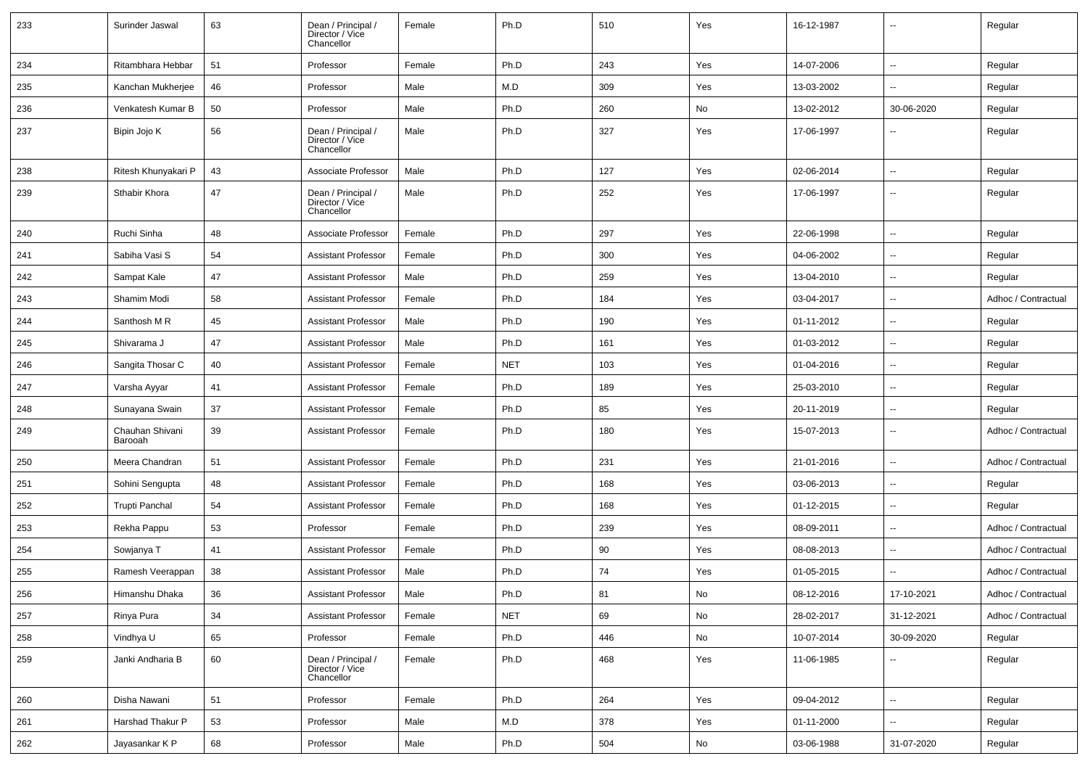| 233 | Surinder Jaswal            | 63 | Dean / Principal /<br>Director / Vice<br>Chancellor | Female | Ph.D       | 510 | Yes                          | 16-12-1987 | $\overline{\phantom{a}}$ | Regular             |
|-----|----------------------------|----|-----------------------------------------------------|--------|------------|-----|------------------------------|------------|--------------------------|---------------------|
| 234 | Ritambhara Hebbar          | 51 | Professor                                           | Female | Ph.D       | 243 | Yes                          | 14-07-2006 | Ξ.                       | Regular             |
| 235 | Kanchan Mukherjee          | 46 | Professor                                           | Male   | M.D        | 309 | Yes                          | 13-03-2002 | $\overline{\phantom{a}}$ | Regular             |
| 236 | Venkatesh Kumar B          | 50 | Professor                                           | Male   | Ph.D       | 260 | No                           | 13-02-2012 | 30-06-2020               | Regular             |
| 237 | Bipin Jojo K               | 56 | Dean / Principal /<br>Director / Vice<br>Chancellor | Male   | Ph.D       | 327 | Yes                          | 17-06-1997 | $\overline{\phantom{a}}$ | Regular             |
| 238 | Ritesh Khunyakari P        | 43 | Associate Professor                                 | Male   | Ph.D       | 127 | Yes                          | 02-06-2014 | ⊷.                       | Regular             |
| 239 | Sthabir Khora              | 47 | Dean / Principal /<br>Director / Vice<br>Chancellor | Male   | Ph.D       | 252 | Yes                          | 17-06-1997 | $\overline{\phantom{a}}$ | Regular             |
| 240 | Ruchi Sinha                | 48 | Associate Professor                                 | Female | Ph.D       | 297 | Yes                          | 22-06-1998 | ⊷.                       | Regular             |
| 241 | Sabiha Vasi S              | 54 | <b>Assistant Professor</b>                          | Female | Ph.D       | 300 | Yes                          | 04-06-2002 |                          | Regular             |
| 242 | Sampat Kale                | 47 | <b>Assistant Professor</b>                          | Male   | Ph.D       | 259 | Yes                          | 13-04-2010 | $\overline{\phantom{a}}$ | Regular             |
| 243 | Shamim Modi                | 58 | <b>Assistant Professor</b>                          | Female | Ph.D       | 184 | Yes                          | 03-04-2017 |                          | Adhoc / Contractual |
| 244 | Santhosh M R               | 45 | <b>Assistant Professor</b>                          | Male   | Ph.D       | 190 | Yes                          | 01-11-2012 | Ξ.                       | Regular             |
| 245 | Shivarama J                | 47 | <b>Assistant Professor</b>                          | Male   | Ph.D       | 161 | Yes                          | 01-03-2012 | н.                       | Regular             |
| 246 | Sangita Thosar C           | 40 | <b>Assistant Professor</b>                          | Female | <b>NET</b> | 103 | Yes                          | 01-04-2016 | $\overline{\phantom{a}}$ | Regular             |
| 247 | Varsha Ayyar               | 41 | <b>Assistant Professor</b>                          | Female | Ph.D       | 189 | Yes                          | 25-03-2010 | $\sim$                   | Regular             |
| 248 | Sunayana Swain             | 37 | <b>Assistant Professor</b>                          | Female | Ph.D       | 85  | Yes                          | 20-11-2019 | $\overline{\phantom{a}}$ | Regular             |
| 249 | Chauhan Shivani<br>Barooah | 39 | <b>Assistant Professor</b>                          | Female | Ph.D       | 180 | Yes                          | 15-07-2013 |                          | Adhoc / Contractual |
| 250 | Meera Chandran             | 51 | <b>Assistant Professor</b>                          | Female | Ph.D       | 231 | Yes                          | 21-01-2016 |                          | Adhoc / Contractual |
| 251 | Sohini Sengupta            | 48 | <b>Assistant Professor</b>                          | Female | Ph.D       | 168 | Yes                          | 03-06-2013 | Ξ.                       | Regular             |
| 252 | Trupti Panchal             | 54 | <b>Assistant Professor</b>                          | Female | Ph.D       | 168 | Yes                          | 01-12-2015 | $\overline{\phantom{a}}$ | Regular             |
| 253 | Rekha Pappu                | 53 | Professor                                           | Female | Ph.D       | 239 | Yes                          | 08-09-2011 | н.                       | Adhoc / Contractual |
| 254 | Sowjanya T                 | 41 | Assistant Professor                                 | Female | Ph.D       | 90  | Yes                          | 08-08-2013 |                          | Adhoc / Contractual |
| 255 | Ramesh Veerappan           | 38 | <b>Assistant Professor</b>                          | Male   | Ph.D       | 74  | Yes                          | 01-05-2015 | $\overline{\phantom{a}}$ | Adhoc / Contractual |
| 256 | Himanshu Dhaka             | 36 | Assistant Professor                                 | Male   | Ph.D       | 81  | $\mathsf{No}$                | 08-12-2016 | 17-10-2021               | Adhoc / Contractual |
| 257 | Rinya Pura                 | 34 | <b>Assistant Professor</b>                          | Female | <b>NET</b> | 69  | No                           | 28-02-2017 | 31-12-2021               | Adhoc / Contractual |
| 258 | Vindhya U                  | 65 | Professor                                           | Female | Ph.D       | 446 | No                           | 10-07-2014 | 30-09-2020               | Regular             |
| 259 | Janki Andharia B           | 60 | Dean / Principal /<br>Director / Vice<br>Chancellor | Female | Ph.D       | 468 | Yes                          | 11-06-1985 | −−                       | Regular             |
| 260 | Disha Nawani               | 51 | Professor                                           | Female | Ph.D       | 264 | Yes                          | 09-04-2012 | $\sim$                   | Regular             |
| 261 | Harshad Thakur P           | 53 | Professor                                           | Male   | M.D        | 378 | Yes                          | 01-11-2000 | $\sim$                   | Regular             |
| 262 | Jayasankar K P             | 68 | Professor                                           | Male   | Ph.D       | 504 | $\operatorname{\mathsf{No}}$ | 03-06-1988 | 31-07-2020               | Regular             |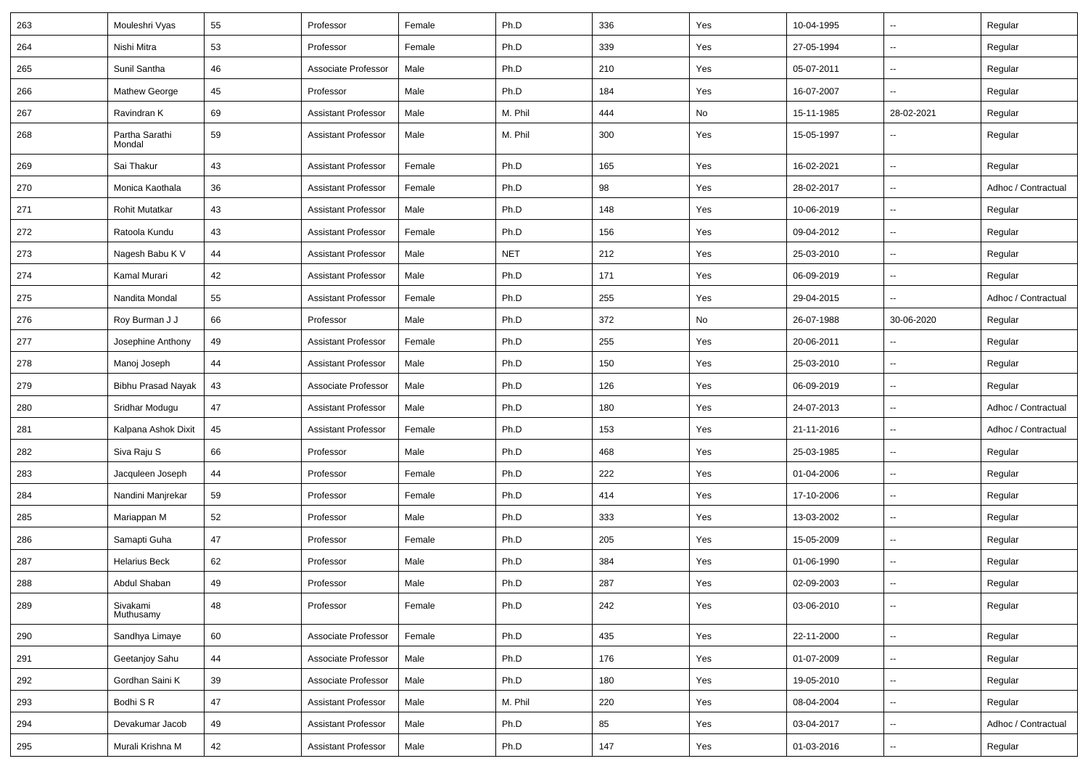| 263 | Mouleshri Vyas           | 55 | Professor                  | Female | Ph.D       | 336 | Yes | 10-04-1995 | $\overline{\phantom{a}}$ | Regular             |
|-----|--------------------------|----|----------------------------|--------|------------|-----|-----|------------|--------------------------|---------------------|
| 264 | Nishi Mitra              | 53 | Professor                  | Female | Ph.D       | 339 | Yes | 27-05-1994 | u.                       | Regular             |
| 265 | Sunil Santha             | 46 | Associate Professor        | Male   | Ph.D       | 210 | Yes | 05-07-2011 | --                       | Regular             |
| 266 | Mathew George            | 45 | Professor                  | Male   | Ph.D       | 184 | Yes | 16-07-2007 | --                       | Regular             |
| 267 | Ravindran K              | 69 | <b>Assistant Professor</b> | Male   | M. Phil    | 444 | No  | 15-11-1985 | 28-02-2021               | Regular             |
| 268 | Partha Sarathi<br>Mondal | 59 | <b>Assistant Professor</b> | Male   | M. Phil    | 300 | Yes | 15-05-1997 |                          | Regular             |
| 269 | Sai Thakur               | 43 | <b>Assistant Professor</b> | Female | Ph.D       | 165 | Yes | 16-02-2021 | Ξ.                       | Regular             |
| 270 | Monica Kaothala          | 36 | <b>Assistant Professor</b> | Female | Ph.D       | 98  | Yes | 28-02-2017 | $\overline{\phantom{a}}$ | Adhoc / Contractual |
| 271 | <b>Rohit Mutatkar</b>    | 43 | <b>Assistant Professor</b> | Male   | Ph.D       | 148 | Yes | 10-06-2019 | Ξ.                       | Regular             |
| 272 | Ratoola Kundu            | 43 | <b>Assistant Professor</b> | Female | Ph.D       | 156 | Yes | 09-04-2012 | Ξ.                       | Regular             |
| 273 | Nagesh Babu K V          | 44 | <b>Assistant Professor</b> | Male   | <b>NET</b> | 212 | Yes | 25-03-2010 | --                       | Regular             |
| 274 | Kamal Murari             | 42 | <b>Assistant Professor</b> | Male   | Ph.D       | 171 | Yes | 06-09-2019 | $\overline{\phantom{a}}$ | Regular             |
| 275 | Nandita Mondal           | 55 | <b>Assistant Professor</b> | Female | Ph.D       | 255 | Yes | 29-04-2015 | u.                       | Adhoc / Contractual |
| 276 | Roy Burman J J           | 66 | Professor                  | Male   | Ph.D       | 372 | No  | 26-07-1988 | 30-06-2020               | Regular             |
| 277 | Josephine Anthony        | 49 | <b>Assistant Professor</b> | Female | Ph.D       | 255 | Yes | 20-06-2011 | $\overline{\phantom{a}}$ | Regular             |
| 278 | Manoj Joseph             | 44 | <b>Assistant Professor</b> | Male   | Ph.D       | 150 | Yes | 25-03-2010 | --                       | Regular             |
| 279 | Bibhu Prasad Nayak       | 43 | Associate Professor        | Male   | Ph.D       | 126 | Yes | 06-09-2019 | $\overline{\phantom{a}}$ | Regular             |
| 280 | Sridhar Modugu           | 47 | <b>Assistant Professor</b> | Male   | Ph.D       | 180 | Yes | 24-07-2013 | $\overline{\phantom{a}}$ | Adhoc / Contractual |
| 281 | Kalpana Ashok Dixit      | 45 | <b>Assistant Professor</b> | Female | Ph.D       | 153 | Yes | 21-11-2016 | $\overline{\phantom{a}}$ | Adhoc / Contractual |
| 282 | Siva Raju S              | 66 | Professor                  | Male   | Ph.D       | 468 | Yes | 25-03-1985 | $\overline{\phantom{a}}$ | Regular             |
| 283 | Jacquleen Joseph         | 44 | Professor                  | Female | Ph.D       | 222 | Yes | 01-04-2006 | Ξ.                       | Regular             |
| 284 | Nandini Manjrekar        | 59 | Professor                  | Female | Ph.D       | 414 | Yes | 17-10-2006 | $\overline{\phantom{a}}$ | Regular             |
| 285 | Mariappan M              | 52 | Professor                  | Male   | Ph.D       | 333 | Yes | 13-03-2002 | $\overline{\phantom{a}}$ | Regular             |
| 286 | Samapti Guha             | 47 | Professor                  | Female | Ph.D       | 205 | Yes | 15-05-2009 | --                       | Regular             |
| 287 | <b>Helarius Beck</b>     | 62 | Professor                  | Male   | Ph.D       | 384 | Yes | 01-06-1990 | --                       | Regular             |
| 288 | Abdul Shaban             | 49 | Professor                  | Male   | Ph.D       | 287 | Yes | 02-09-2003 | u.                       | Regular             |
| 289 | Sivakami<br>Muthusamy    | 48 | Professor                  | Female | Ph.D       | 242 | Yes | 03-06-2010 | Ξ.                       | Regular             |
| 290 | Sandhya Limaye           | 60 | Associate Professor        | Female | Ph.D       | 435 | Yes | 22-11-2000 | $\overline{\phantom{a}}$ | Regular             |
| 291 | Geetanjoy Sahu           | 44 | Associate Professor        | Male   | Ph.D       | 176 | Yes | 01-07-2009 | $\overline{\phantom{a}}$ | Regular             |
| 292 | Gordhan Saini K          | 39 | Associate Professor        | Male   | Ph.D       | 180 | Yes | 19-05-2010 | Ξ.                       | Regular             |
| 293 | Bodhi S R                | 47 | <b>Assistant Professor</b> | Male   | M. Phil    | 220 | Yes | 08-04-2004 | --                       | Regular             |
| 294 | Devakumar Jacob          | 49 | <b>Assistant Professor</b> | Male   | Ph.D       | 85  | Yes | 03-04-2017 | Ξ.                       | Adhoc / Contractual |
| 295 | Murali Krishna M         | 42 | <b>Assistant Professor</b> | Male   | Ph.D       | 147 | Yes | 01-03-2016 | Ξ.                       | Regular             |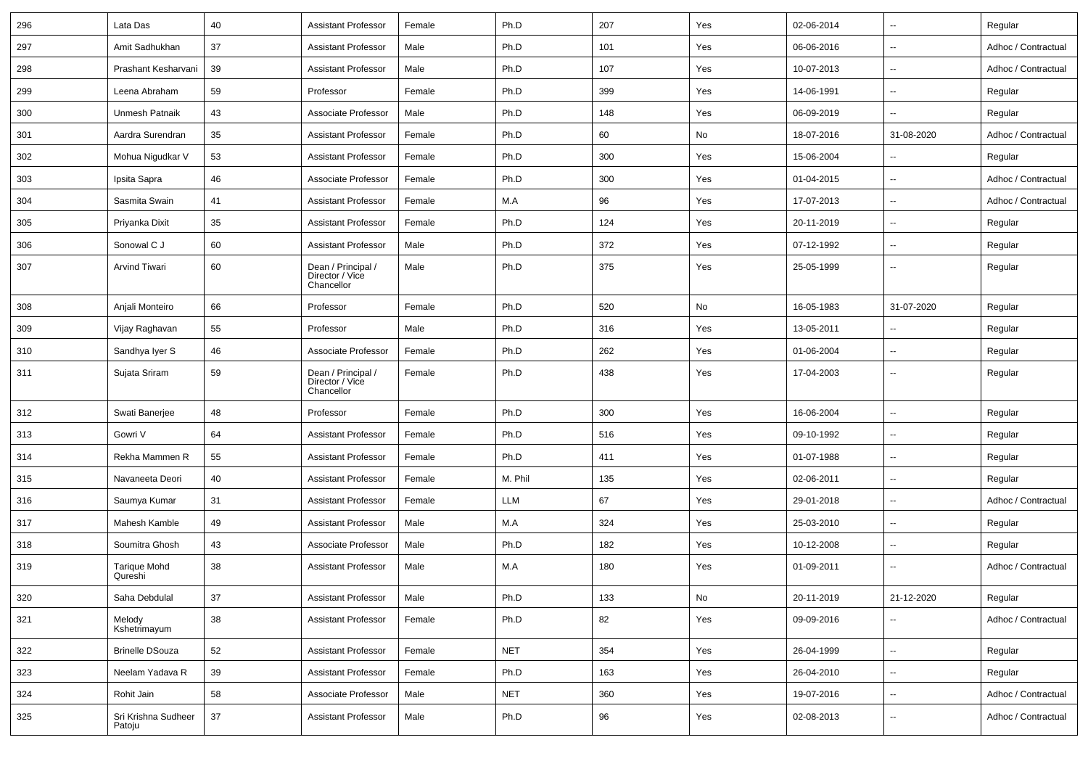| 296 | Lata Das                       | 40 | <b>Assistant Professor</b>                          | Female | Ph.D       | 207 | Yes | 02-06-2014 | $\sim$                   | Regular             |
|-----|--------------------------------|----|-----------------------------------------------------|--------|------------|-----|-----|------------|--------------------------|---------------------|
| 297 | Amit Sadhukhan                 | 37 | <b>Assistant Professor</b>                          | Male   | Ph.D       | 101 | Yes | 06-06-2016 | $\sim$                   | Adhoc / Contractual |
| 298 | Prashant Kesharvani            | 39 | <b>Assistant Professor</b>                          | Male   | Ph.D       | 107 | Yes | 10-07-2013 | $\sim$                   | Adhoc / Contractual |
| 299 | Leena Abraham                  | 59 | Professor                                           | Female | Ph.D       | 399 | Yes | 14-06-1991 | $\overline{\phantom{a}}$ | Regular             |
| 300 | Unmesh Patnaik                 | 43 | Associate Professor                                 | Male   | Ph.D       | 148 | Yes | 06-09-2019 | $\overline{\phantom{a}}$ | Regular             |
| 301 | Aardra Surendran               | 35 | <b>Assistant Professor</b>                          | Female | Ph.D       | 60  | No  | 18-07-2016 | 31-08-2020               | Adhoc / Contractual |
| 302 | Mohua Nigudkar V               | 53 | <b>Assistant Professor</b>                          | Female | Ph.D       | 300 | Yes | 15-06-2004 | $\overline{\phantom{a}}$ | Regular             |
| 303 | Ipsita Sapra                   | 46 | Associate Professor                                 | Female | Ph.D       | 300 | Yes | 01-04-2015 | $\sim$                   | Adhoc / Contractual |
| 304 | Sasmita Swain                  | 41 | <b>Assistant Professor</b>                          | Female | M.A        | 96  | Yes | 17-07-2013 | $\overline{\phantom{a}}$ | Adhoc / Contractual |
| 305 | Priyanka Dixit                 | 35 | <b>Assistant Professor</b>                          | Female | Ph.D       | 124 | Yes | 20-11-2019 | $\overline{\phantom{a}}$ | Regular             |
| 306 | Sonowal C J                    | 60 | <b>Assistant Professor</b>                          | Male   | Ph.D       | 372 | Yes | 07-12-1992 | $\sim$                   | Regular             |
| 307 | Arvind Tiwari                  | 60 | Dean / Principal /<br>Director / Vice<br>Chancellor | Male   | Ph.D       | 375 | Yes | 25-05-1999 | $\overline{\phantom{a}}$ | Regular             |
| 308 | Anjali Monteiro                | 66 | Professor                                           | Female | Ph.D       | 520 | No  | 16-05-1983 | 31-07-2020               | Regular             |
| 309 | Vijay Raghavan                 | 55 | Professor                                           | Male   | Ph.D       | 316 | Yes | 13-05-2011 | $\overline{\phantom{a}}$ | Regular             |
| 310 | Sandhya Iyer S                 | 46 | Associate Professor                                 | Female | Ph.D       | 262 | Yes | 01-06-2004 | $\overline{\phantom{a}}$ | Regular             |
| 311 | Sujata Sriram                  | 59 | Dean / Principal /<br>Director / Vice<br>Chancellor | Female | Ph.D       | 438 | Yes | 17-04-2003 | $\sim$                   | Regular             |
| 312 | Swati Banerjee                 | 48 | Professor                                           | Female | Ph.D       | 300 | Yes | 16-06-2004 | $\sim$                   | Regular             |
| 313 | Gowri V                        | 64 | <b>Assistant Professor</b>                          | Female | Ph.D       | 516 | Yes | 09-10-1992 | $\sim$                   | Regular             |
| 314 | Rekha Mammen R                 | 55 | <b>Assistant Professor</b>                          | Female | Ph.D       | 411 | Yes | 01-07-1988 | $\overline{\phantom{a}}$ | Regular             |
| 315 | Navaneeta Deori                | 40 | <b>Assistant Professor</b>                          | Female | M. Phil    | 135 | Yes | 02-06-2011 | $\overline{\phantom{a}}$ | Regular             |
| 316 | Saumya Kumar                   | 31 | <b>Assistant Professor</b>                          | Female | LLM        | 67  | Yes | 29-01-2018 | $\overline{\phantom{a}}$ | Adhoc / Contractual |
| 317 | Mahesh Kamble                  | 49 | <b>Assistant Professor</b>                          | Male   | M.A        | 324 | Yes | 25-03-2010 | $\overline{\phantom{a}}$ | Regular             |
| 318 | Soumitra Ghosh                 | 43 | Associate Professor                                 | Male   | Ph.D       | 182 | Yes | 10-12-2008 | $\overline{\phantom{a}}$ | Regular             |
| 319 | <b>Tarique Mohd</b><br>Qureshi | 38 | <b>Assistant Professor</b>                          | Male   | M.A        | 180 | Yes | 01-09-2011 | $\sim$                   | Adhoc / Contractual |
| 320 | Saha Debdulal                  | 37 | <b>Assistant Professor</b>                          | Male   | Ph.D       | 133 | No  | 20-11-2019 | 21-12-2020               | Regular             |
| 321 | Melody<br>Kshetrimayum         | 38 | <b>Assistant Professor</b>                          | Female | Ph.D       | 82  | Yes | 09-09-2016 | $\overline{\phantom{a}}$ | Adhoc / Contractual |
| 322 | <b>Brinelle DSouza</b>         | 52 | <b>Assistant Professor</b>                          | Female | <b>NET</b> | 354 | Yes | 26-04-1999 | $\overline{\phantom{a}}$ | Regular             |
| 323 | Neelam Yadava R                | 39 | <b>Assistant Professor</b>                          | Female | Ph.D       | 163 | Yes | 26-04-2010 | $\overline{\phantom{a}}$ | Regular             |
| 324 | Rohit Jain                     | 58 | Associate Professor                                 | Male   | <b>NET</b> | 360 | Yes | 19-07-2016 | $\overline{\phantom{a}}$ | Adhoc / Contractual |
| 325 | Sri Krishna Sudheer<br>Patoju  | 37 | <b>Assistant Professor</b>                          | Male   | Ph.D       | 96  | Yes | 02-08-2013 | $\overline{\phantom{a}}$ | Adhoc / Contractual |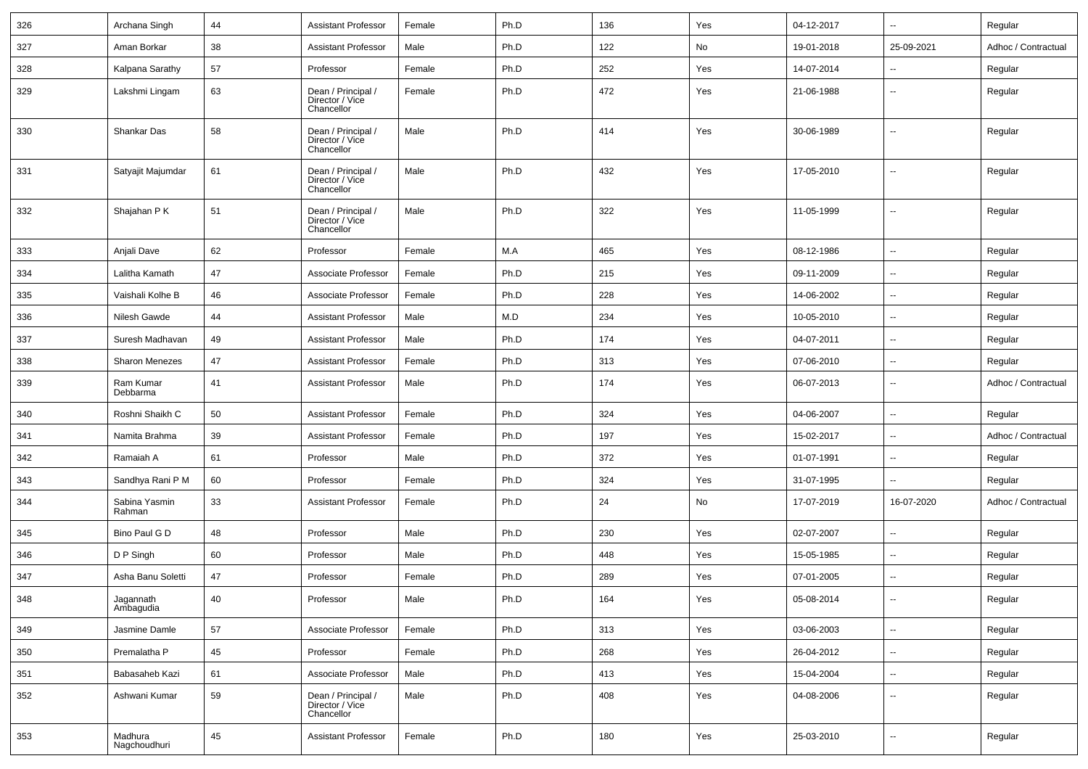| 326 | Archana Singh           | 44 | <b>Assistant Professor</b>                          | Female | Ph.D | 136 | Yes | 04-12-2017 | $\overline{\phantom{a}}$ | Regular             |
|-----|-------------------------|----|-----------------------------------------------------|--------|------|-----|-----|------------|--------------------------|---------------------|
| 327 | Aman Borkar             | 38 | <b>Assistant Professor</b>                          | Male   | Ph.D | 122 | No  | 19-01-2018 | 25-09-2021               | Adhoc / Contractual |
| 328 | Kalpana Sarathy         | 57 | Professor                                           | Female | Ph.D | 252 | Yes | 14-07-2014 | $\overline{\phantom{a}}$ | Regular             |
| 329 | Lakshmi Lingam          | 63 | Dean / Principal /<br>Director / Vice<br>Chancellor | Female | Ph.D | 472 | Yes | 21-06-1988 | ۰.                       | Regular             |
| 330 | Shankar Das             | 58 | Dean / Principal /<br>Director / Vice<br>Chancellor | Male   | Ph.D | 414 | Yes | 30-06-1989 | ۰.                       | Regular             |
| 331 | Satyajit Majumdar       | 61 | Dean / Principal /<br>Director / Vice<br>Chancellor | Male   | Ph.D | 432 | Yes | 17-05-2010 | ۰.                       | Regular             |
| 332 | Shajahan P K            | 51 | Dean / Principal /<br>Director / Vice<br>Chancellor | Male   | Ph.D | 322 | Yes | 11-05-1999 | $\overline{\phantom{a}}$ | Regular             |
| 333 | Anjali Dave             | 62 | Professor                                           | Female | M.A  | 465 | Yes | 08-12-1986 | $\overline{\phantom{a}}$ | Regular             |
| 334 | Lalitha Kamath          | 47 | Associate Professor                                 | Female | Ph.D | 215 | Yes | 09-11-2009 | --                       | Regular             |
| 335 | Vaishali Kolhe B        | 46 | Associate Professor                                 | Female | Ph.D | 228 | Yes | 14-06-2002 | $\overline{\phantom{a}}$ | Regular             |
| 336 | Nilesh Gawde            | 44 | <b>Assistant Professor</b>                          | Male   | M.D  | 234 | Yes | 10-05-2010 | $\overline{\phantom{a}}$ | Regular             |
| 337 | Suresh Madhavan         | 49 | <b>Assistant Professor</b>                          | Male   | Ph.D | 174 | Yes | 04-07-2011 | $\overline{\phantom{a}}$ | Regular             |
| 338 | <b>Sharon Menezes</b>   | 47 | <b>Assistant Professor</b>                          | Female | Ph.D | 313 | Yes | 07-06-2010 | $\overline{\phantom{a}}$ | Regular             |
| 339 | Ram Kumar<br>Debbarma   | 41 | <b>Assistant Professor</b>                          | Male   | Ph.D | 174 | Yes | 06-07-2013 | --                       | Adhoc / Contractual |
| 340 | Roshni Shaikh C         | 50 | <b>Assistant Professor</b>                          | Female | Ph.D | 324 | Yes | 04-06-2007 | $\overline{\phantom{a}}$ | Regular             |
| 341 | Namita Brahma           | 39 | <b>Assistant Professor</b>                          | Female | Ph.D | 197 | Yes | 15-02-2017 | --                       | Adhoc / Contractual |
| 342 | Ramaiah A               | 61 | Professor                                           | Male   | Ph.D | 372 | Yes | 01-07-1991 | $\overline{\phantom{a}}$ | Regular             |
| 343 | Sandhya Rani P M        | 60 | Professor                                           | Female | Ph.D | 324 | Yes | 31-07-1995 | --                       | Regular             |
| 344 | Sabina Yasmin<br>Rahman | 33 | <b>Assistant Professor</b>                          | Female | Ph.D | 24  | No  | 17-07-2019 | 16-07-2020               | Adhoc / Contractual |
| 345 | Bino Paul G D           | 48 | Professor                                           | Male   | Ph.D | 230 | Yes | 02-07-2007 | $\overline{\phantom{a}}$ | Regular             |
| 346 | D P Singh               | 60 | Professor                                           | Male   | Ph.D | 448 | Yes | 15-05-1985 | ۰.                       | Regular             |
| 347 | Asha Banu Soletti       | 47 | Professor                                           | Female | Ph.D | 289 | Yes | 07-01-2005 | $\overline{\phantom{a}}$ | Regular             |
| 348 | Jagannath<br>Ambagudia  | 40 | Professor                                           | Male   | Ph.D | 164 | Yes | 05-08-2014 | Ξ.                       | Regular             |
| 349 | Jasmine Damle           | 57 | Associate Professor                                 | Female | Ph.D | 313 | Yes | 03-06-2003 | Щ,                       | Regular             |
| 350 | Premalatha P            | 45 | Professor                                           | Female | Ph.D | 268 | Yes | 26-04-2012 | Ξ.                       | Regular             |
| 351 | Babasaheb Kazi          | 61 | Associate Professor                                 | Male   | Ph.D | 413 | Yes | 15-04-2004 | Ξ.                       | Regular             |
| 352 | Ashwani Kumar           | 59 | Dean / Principal /<br>Director / Vice<br>Chancellor | Male   | Ph.D | 408 | Yes | 04-08-2006 | Ξ.                       | Regular             |
| 353 | Madhura<br>Nagchoudhuri | 45 | <b>Assistant Professor</b>                          | Female | Ph.D | 180 | Yes | 25-03-2010 | Ξ.                       | Regular             |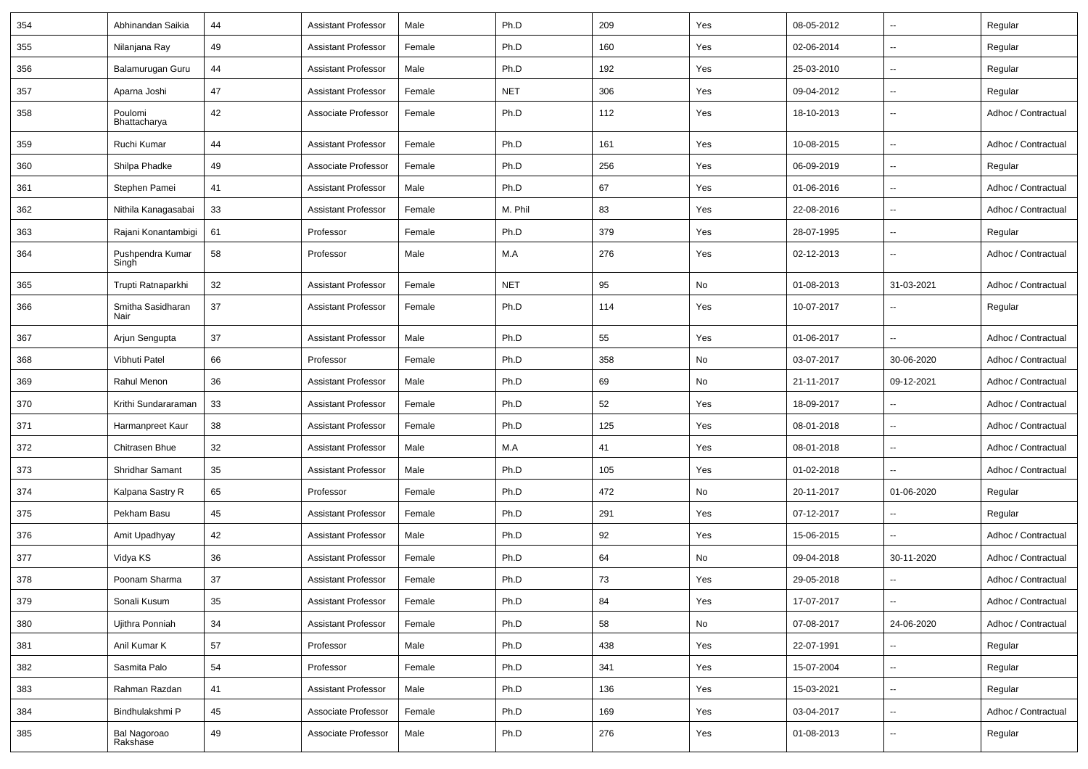| 354 | Abhinandan Saikia         | 44     | <b>Assistant Professor</b> | Male   | Ph.D       | 209 | Yes | 08-05-2012 | $\overline{\phantom{a}}$ | Regular             |
|-----|---------------------------|--------|----------------------------|--------|------------|-----|-----|------------|--------------------------|---------------------|
| 355 | Nilanjana Ray             | 49     | <b>Assistant Professor</b> | Female | Ph.D       | 160 | Yes | 02-06-2014 | $\overline{\phantom{a}}$ | Regular             |
| 356 | Balamurugan Guru          | 44     | <b>Assistant Professor</b> | Male   | Ph.D       | 192 | Yes | 25-03-2010 | $\sim$                   | Regular             |
| 357 | Aparna Joshi              | 47     | <b>Assistant Professor</b> | Female | <b>NET</b> | 306 | Yes | 09-04-2012 | --                       | Regular             |
| 358 | Poulomi<br>Bhattacharya   | 42     | Associate Professor        | Female | Ph.D       | 112 | Yes | 18-10-2013 | $\overline{\phantom{a}}$ | Adhoc / Contractual |
| 359 | Ruchi Kumar               | 44     | <b>Assistant Professor</b> | Female | Ph.D       | 161 | Yes | 10-08-2015 | ц,                       | Adhoc / Contractual |
| 360 | Shilpa Phadke             | 49     | Associate Professor        | Female | Ph.D       | 256 | Yes | 06-09-2019 | $\overline{\phantom{a}}$ | Regular             |
| 361 | Stephen Pamei             | 41     | <b>Assistant Professor</b> | Male   | Ph.D       | 67  | Yes | 01-06-2016 | $\overline{\phantom{a}}$ | Adhoc / Contractual |
| 362 | Nithila Kanagasabai       | 33     | <b>Assistant Professor</b> | Female | M. Phil    | 83  | Yes | 22-08-2016 | $\overline{\phantom{a}}$ | Adhoc / Contractual |
| 363 | Rajani Konantambigi       | 61     | Professor                  | Female | Ph.D       | 379 | Yes | 28-07-1995 | $\overline{\phantom{a}}$ | Regular             |
| 364 | Pushpendra Kumar<br>Singh | 58     | Professor                  | Male   | M.A        | 276 | Yes | 02-12-2013 | $\overline{\phantom{a}}$ | Adhoc / Contractual |
| 365 | Trupti Ratnaparkhi        | 32     | <b>Assistant Professor</b> | Female | <b>NET</b> | 95  | No  | 01-08-2013 | 31-03-2021               | Adhoc / Contractual |
| 366 | Smitha Sasidharan<br>Nair | 37     | <b>Assistant Professor</b> | Female | Ph.D       | 114 | Yes | 10-07-2017 | --                       | Regular             |
| 367 | Arjun Sengupta            | 37     | <b>Assistant Professor</b> | Male   | Ph.D       | 55  | Yes | 01-06-2017 | ц,                       | Adhoc / Contractual |
| 368 | Vibhuti Patel             | 66     | Professor                  | Female | Ph.D       | 358 | No  | 03-07-2017 | 30-06-2020               | Adhoc / Contractual |
| 369 | Rahul Menon               | 36     | <b>Assistant Professor</b> | Male   | Ph.D       | 69  | No  | 21-11-2017 | 09-12-2021               | Adhoc / Contractual |
| 370 | Krithi Sundararaman       | 33     | <b>Assistant Professor</b> | Female | Ph.D       | 52  | Yes | 18-09-2017 | $\overline{\phantom{a}}$ | Adhoc / Contractual |
| 371 | Harmanpreet Kaur          | 38     | <b>Assistant Professor</b> | Female | Ph.D       | 125 | Yes | 08-01-2018 | $\overline{\phantom{a}}$ | Adhoc / Contractual |
| 372 | Chitrasen Bhue            | 32     | <b>Assistant Professor</b> | Male   | M.A        | 41  | Yes | 08-01-2018 | --                       | Adhoc / Contractual |
| 373 | Shridhar Samant           | 35     | <b>Assistant Professor</b> | Male   | Ph.D       | 105 | Yes | 01-02-2018 |                          | Adhoc / Contractual |
| 374 | Kalpana Sastry R          | 65     | Professor                  | Female | Ph.D       | 472 | No  | 20-11-2017 | 01-06-2020               | Regular             |
| 375 | Pekham Basu               | 45     | <b>Assistant Professor</b> | Female | Ph.D       | 291 | Yes | 07-12-2017 | $\sim$                   | Regular             |
| 376 | Amit Upadhyay             | 42     | <b>Assistant Professor</b> | Male   | Ph.D       | 92  | Yes | 15-06-2015 | $\overline{\phantom{a}}$ | Adhoc / Contractual |
| 377 | Vidya KS                  | 36     | <b>Assistant Professor</b> | Female | Ph.D       | 64  | No  | 09-04-2018 | 30-11-2020               | Adhoc / Contractual |
| 378 | Poonam Sharma             | 37     | <b>Assistant Professor</b> | Female | Ph.D       | 73  | Yes | 29-05-2018 |                          | Adhoc / Contractual |
| 379 | Sonali Kusum              | $35\,$ | <b>Assistant Professor</b> | Female | Ph.D       | 84  | Yes | 17-07-2017 | $\overline{\phantom{a}}$ | Adhoc / Contractual |
| 380 | Ujithra Ponniah           | 34     | <b>Assistant Professor</b> | Female | Ph.D       | 58  | No  | 07-08-2017 | 24-06-2020               | Adhoc / Contractual |
| 381 | Anil Kumar K              | 57     | Professor                  | Male   | Ph.D       | 438 | Yes | 22-07-1991 | $\overline{\phantom{a}}$ | Regular             |
| 382 | Sasmita Palo              | 54     | Professor                  | Female | Ph.D       | 341 | Yes | 15-07-2004 | $\overline{\phantom{a}}$ | Regular             |
| 383 | Rahman Razdan             | 41     | <b>Assistant Professor</b> | Male   | Ph.D       | 136 | Yes | 15-03-2021 | $\overline{\phantom{a}}$ | Regular             |
| 384 | Bindhulakshmi P           | 45     | Associate Professor        | Female | Ph.D       | 169 | Yes | 03-04-2017 | $\overline{\phantom{a}}$ | Adhoc / Contractual |
| 385 | Bal Nagoroao<br>Rakshase  | 49     | Associate Professor        | Male   | Ph.D       | 276 | Yes | 01-08-2013 | $\overline{\phantom{a}}$ | Regular             |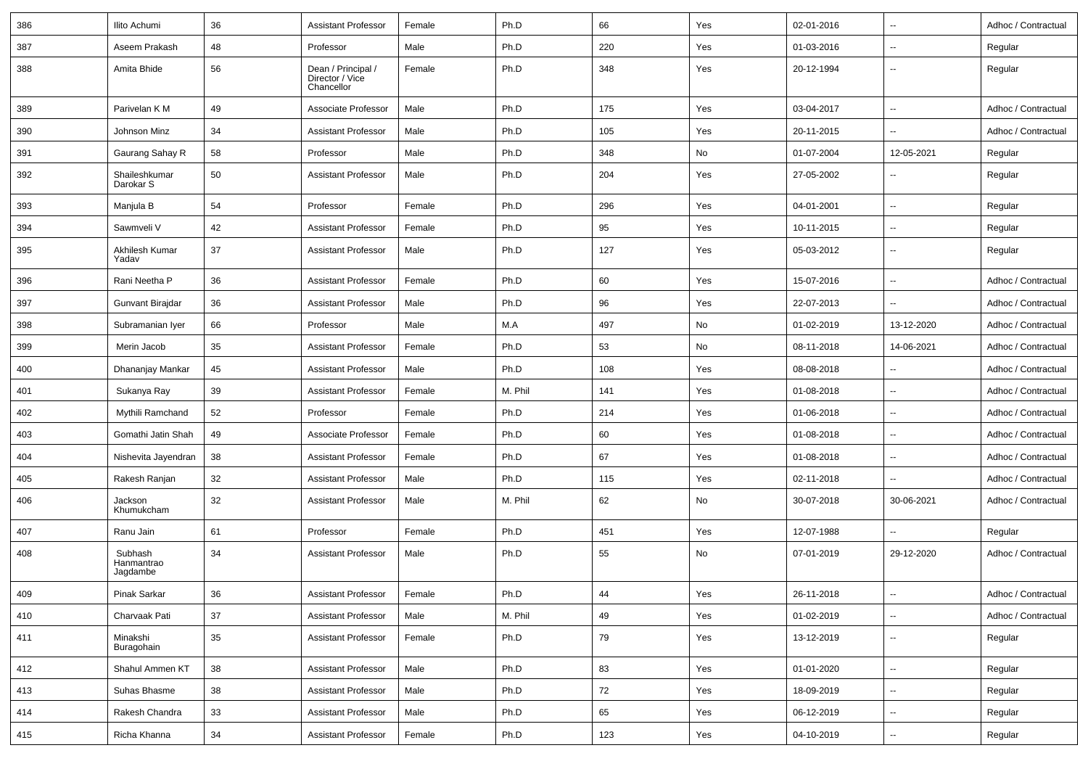| 386 | Ilito Achumi                      | 36     | <b>Assistant Professor</b>                          | Female | Ph.D    | 66  | Yes | 02-01-2016 | $\overline{\phantom{a}}$ | Adhoc / Contractual |
|-----|-----------------------------------|--------|-----------------------------------------------------|--------|---------|-----|-----|------------|--------------------------|---------------------|
| 387 | Aseem Prakash                     | 48     | Professor                                           | Male   | Ph.D    | 220 | Yes | 01-03-2016 | $\overline{\phantom{a}}$ | Regular             |
| 388 | Amita Bhide                       | 56     | Dean / Principal /<br>Director / Vice<br>Chancellor | Female | Ph.D    | 348 | Yes | 20-12-1994 | $\overline{\phantom{a}}$ | Regular             |
| 389 | Parivelan K M                     | 49     | Associate Professor                                 | Male   | Ph.D    | 175 | Yes | 03-04-2017 | ц,                       | Adhoc / Contractual |
| 390 | Johnson Minz                      | 34     | <b>Assistant Professor</b>                          | Male   | Ph.D    | 105 | Yes | 20-11-2015 | $\overline{\phantom{a}}$ | Adhoc / Contractual |
| 391 | Gaurang Sahay R                   | 58     | Professor                                           | Male   | Ph.D    | 348 | No  | 01-07-2004 | 12-05-2021               | Regular             |
| 392 | Shaileshkumar<br>Darokar S        | 50     | <b>Assistant Professor</b>                          | Male   | Ph.D    | 204 | Yes | 27-05-2002 | $\overline{\phantom{a}}$ | Regular             |
| 393 | Manjula B                         | 54     | Professor                                           | Female | Ph.D    | 296 | Yes | 04-01-2001 | Ξ.                       | Regular             |
| 394 | Sawmveli V                        | 42     | <b>Assistant Professor</b>                          | Female | Ph.D    | 95  | Yes | 10-11-2015 | $\overline{\phantom{a}}$ | Regular             |
| 395 | Akhilesh Kumar<br>Yadav           | 37     | <b>Assistant Professor</b>                          | Male   | Ph.D    | 127 | Yes | 05-03-2012 | $\overline{\phantom{a}}$ | Regular             |
| 396 | Rani Neetha P                     | 36     | <b>Assistant Professor</b>                          | Female | Ph.D    | 60  | Yes | 15-07-2016 | $\overline{\phantom{a}}$ | Adhoc / Contractual |
| 397 | Gunvant Birajdar                  | 36     | <b>Assistant Professor</b>                          | Male   | Ph.D    | 96  | Yes | 22-07-2013 |                          | Adhoc / Contractual |
| 398 | Subramanian Iyer                  | 66     | Professor                                           | Male   | M.A     | 497 | No  | 01-02-2019 | 13-12-2020               | Adhoc / Contractual |
| 399 | Merin Jacob                       | 35     | <b>Assistant Professor</b>                          | Female | Ph.D    | 53  | No  | 08-11-2018 | 14-06-2021               | Adhoc / Contractual |
| 400 | Dhananjay Mankar                  | 45     | <b>Assistant Professor</b>                          | Male   | Ph.D    | 108 | Yes | 08-08-2018 | --                       | Adhoc / Contractual |
| 401 | Sukanya Ray                       | 39     | <b>Assistant Professor</b>                          | Female | M. Phil | 141 | Yes | 01-08-2018 | $\overline{\phantom{a}}$ | Adhoc / Contractual |
| 402 | Mythili Ramchand                  | 52     | Professor                                           | Female | Ph.D    | 214 | Yes | 01-06-2018 | $\sim$                   | Adhoc / Contractual |
| 403 | Gomathi Jatin Shah                | 49     | Associate Professor                                 | Female | Ph.D    | 60  | Yes | 01-08-2018 | $\overline{\phantom{a}}$ | Adhoc / Contractual |
| 404 | Nishevita Jayendran               | 38     | <b>Assistant Professor</b>                          | Female | Ph.D    | 67  | Yes | 01-08-2018 | $\overline{\phantom{a}}$ | Adhoc / Contractual |
| 405 | Rakesh Ranjan                     | 32     | <b>Assistant Professor</b>                          | Male   | Ph.D    | 115 | Yes | 02-11-2018 | --                       | Adhoc / Contractual |
| 406 | Jackson<br>Khumukcham             | 32     | <b>Assistant Professor</b>                          | Male   | M. Phil | 62  | No  | 30-07-2018 | 30-06-2021               | Adhoc / Contractual |
| 407 | Ranu Jain                         | 61     | Professor                                           | Female | Ph.D    | 451 | Yes | 12-07-1988 | Ξ.                       | Regular             |
| 408 | Subhash<br>Hanmantrao<br>Jagdambe | 34     | <b>Assistant Professor</b>                          | Male   | Ph.D    | 55  | No  | 07-01-2019 | 29-12-2020               | Adhoc / Contractual |
| 409 | Pinak Sarkar                      | 36     | <b>Assistant Professor</b>                          | Female | Ph.D    | 44  | Yes | 26-11-2018 |                          | Adhoc / Contractual |
| 410 | Charvaak Pati                     | 37     | Assistant Professor                                 | Male   | M. Phil | 49  | Yes | 01-02-2019 | $\sim$                   | Adhoc / Contractual |
| 411 | Minakshi<br>Buragohain            | $35\,$ | <b>Assistant Professor</b>                          | Female | Ph.D    | 79  | Yes | 13-12-2019 | $\sim$                   | Regular             |
| 412 | Shahul Ammen KT                   | 38     | <b>Assistant Professor</b>                          | Male   | Ph.D    | 83  | Yes | 01-01-2020 | $\sim$                   | Regular             |
| 413 | Suhas Bhasme                      | 38     | <b>Assistant Professor</b>                          | Male   | Ph.D    | 72  | Yes | 18-09-2019 | $\overline{\phantom{a}}$ | Regular             |
| 414 | Rakesh Chandra                    | $33\,$ | <b>Assistant Professor</b>                          | Male   | Ph.D    | 65  | Yes | 06-12-2019 | $\overline{\phantom{a}}$ | Regular             |
| 415 | Richa Khanna                      | 34     | <b>Assistant Professor</b>                          | Female | Ph.D    | 123 | Yes | 04-10-2019 | −−                       | Regular             |